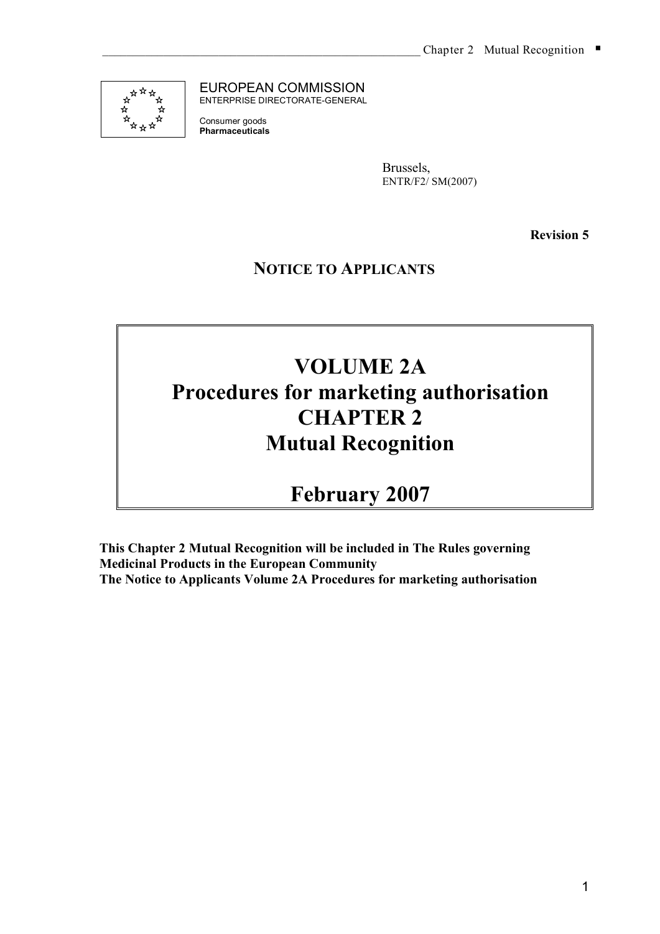

EUROPEAN COMMISSION ENTERPRISE DIRECTORATE-GENERAL

Consumer goods **Pharmaceuticals**

> Brussels, ENTR/F2/ SM(2007)

> > **Revision 5**

**NOTICE TO APPLICANTS**

# **VOLUME 2A Procedures for marketing authorisation CHAPTER 2 Mutual Recognition**

**February 2007**

**This Chapter 2 Mutual Recognition will be included in The Rules governing Medicinal Products in the European Community The Notice to Applicants Volume 2A Procedures for marketing authorisation**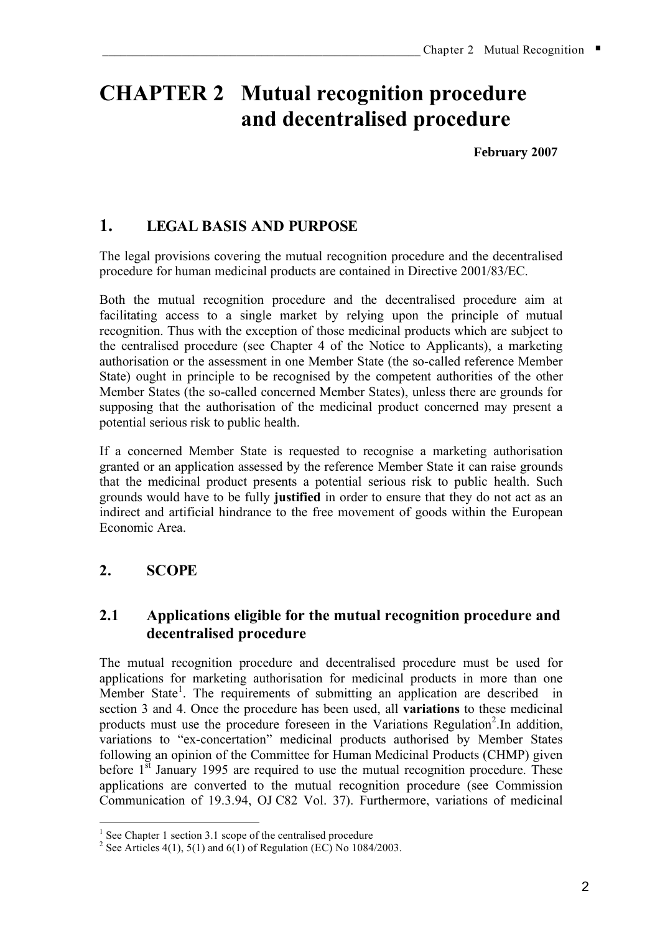# **CHAPTER 2 Mutual recognition procedure and decentralised procedure**

**February 2007**

# **1. LEGAL BASIS AND PURPOSE**

The legal provisions covering the mutual recognition procedure and the decentralised procedure for human medicinal products are contained in Directive 2001/83/EC.

Both the mutual recognition procedure and the decentralised procedure aim at facilitating access to a single market by relying upon the principle of mutual recognition. Thus with the exception of those medicinal products which are subject to the centralised procedure (see Chapter 4 of the Notice to Applicants), a marketing authorisation or the assessment in one Member State (the so-called reference Member State) ought in principle to be recognised by the competent authorities of the other Member States (the so-called concerned Member States), unless there are grounds for supposing that the authorisation of the medicinal product concerned may present a potential serious risk to public health.

If a concerned Member State is requested to recognise a marketing authorisation granted or an application assessed by the reference Member State it can raise grounds that the medicinal product presents a potential serious risk to public health. Such grounds would have to be fully **justified** in order to ensure that they do not act as an indirect and artificial hindrance to the free movement of goods within the European Economic Area.

# **2. SCOPE**

# **2.1 Applications eligible for the mutual recognition procedure and decentralised procedure**

The mutual recognition procedure and decentralised procedure must be used for applications for marketing authorisation for medicinal products in more than one Member State<sup>1</sup>. The requirements of submitting an application are described in section 3 and 4. Once the procedure has been used, all **variations** to these medicinal products must use the procedure foreseen in the Variations Regulation<sup>2</sup>. In addition, variations to "ex-concertation" medicinal products authorised by Member States following an opinion of the Committee for Human Medicinal Products (CHMP) given before 1<sup>st</sup> January 1995 are required to use the mutual recognition procedure. These applications are converted to the mutual recognition procedure (see Commission Communication of 19.3.94, OJ C82 Vol. 37). Furthermore, variations of medicinal

<sup>&</sup>lt;sup>1</sup> See Chapter 1 section 3.1 scope of the centralised procedure <sup>2</sup> See Articles 4(1), 5(1) and 6(1) of Regulation (EC) No 1084/2003.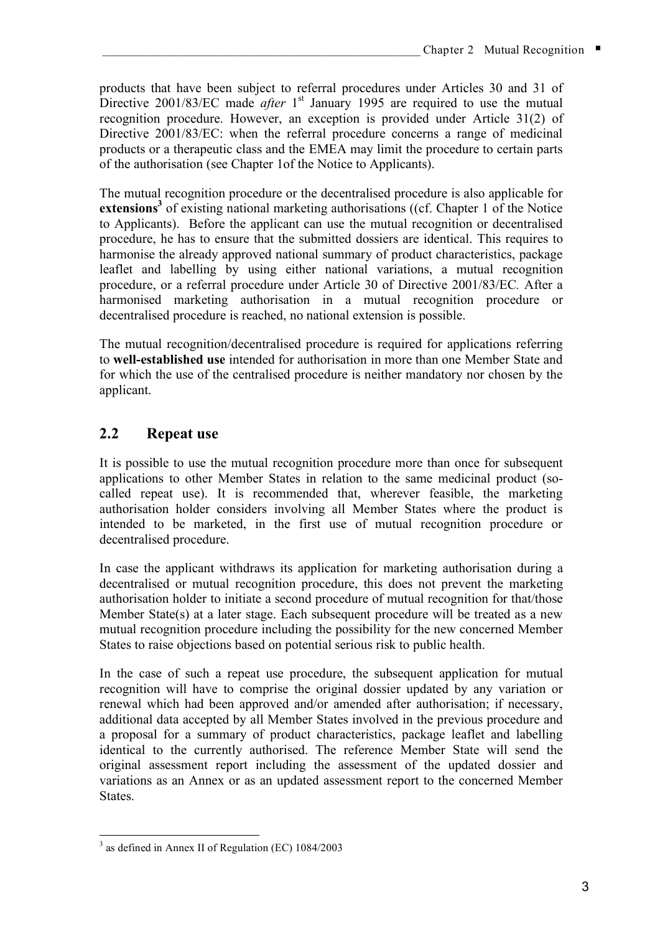products that have been subject to referral procedures under Articles 30 and 31 of Directive 2001/83/EC made *after* 1<sup>st</sup> January 1995 are required to use the mutual recognition procedure. However, an exception is provided under Article 31(2) of Directive 2001/83/EC: when the referral procedure concerns a range of medicinal products or a therapeutic class and the EMEA may limit the procedure to certain parts of the authorisation (see Chapter 1of the Notice to Applicants).

The mutual recognition procedure or the decentralised procedure is also applicable for extensions<sup>3</sup> of existing national marketing authorisations ((cf. Chapter 1 of the Notice to Applicants). Before the applicant can use the mutual recognition or decentralised procedure, he has to ensure that the submitted dossiers are identical. This requires to harmonise the already approved national summary of product characteristics, package leaflet and labelling by using either national variations, a mutual recognition procedure, or a referral procedure under Article 30 of Directive 2001/83/EC*.* After a harmonised marketing authorisation in a mutual recognition procedure or decentralised procedure is reached, no national extension is possible.

The mutual recognition/decentralised procedure is required for applications referring to **well-established use** intended for authorisation in more than one Member State and for which the use of the centralised procedure is neither mandatory nor chosen by the applicant.

# **2.2 Repeat use**

It is possible to use the mutual recognition procedure more than once for subsequent applications to other Member States in relation to the same medicinal product (socalled repeat use). It is recommended that, wherever feasible, the marketing authorisation holder considers involving all Member States where the product is intended to be marketed, in the first use of mutual recognition procedure or decentralised procedure.

In case the applicant withdraws its application for marketing authorisation during a decentralised or mutual recognition procedure, this does not prevent the marketing authorisation holder to initiate a second procedure of mutual recognition for that/those Member State(s) at a later stage. Each subsequent procedure will be treated as a new mutual recognition procedure including the possibility for the new concerned Member States to raise objections based on potential serious risk to public health.

In the case of such a repeat use procedure, the subsequent application for mutual recognition will have to comprise the original dossier updated by any variation or renewal which had been approved and/or amended after authorisation; if necessary, additional data accepted by all Member States involved in the previous procedure and a proposal for a summary of product characteristics, package leaflet and labelling identical to the currently authorised. The reference Member State will send the original assessment report including the assessment of the updated dossier and variations as an Annex or as an updated assessment report to the concerned Member States.

 <sup>3</sup> as defined in Annex II of Regulation (EC) 1084/2003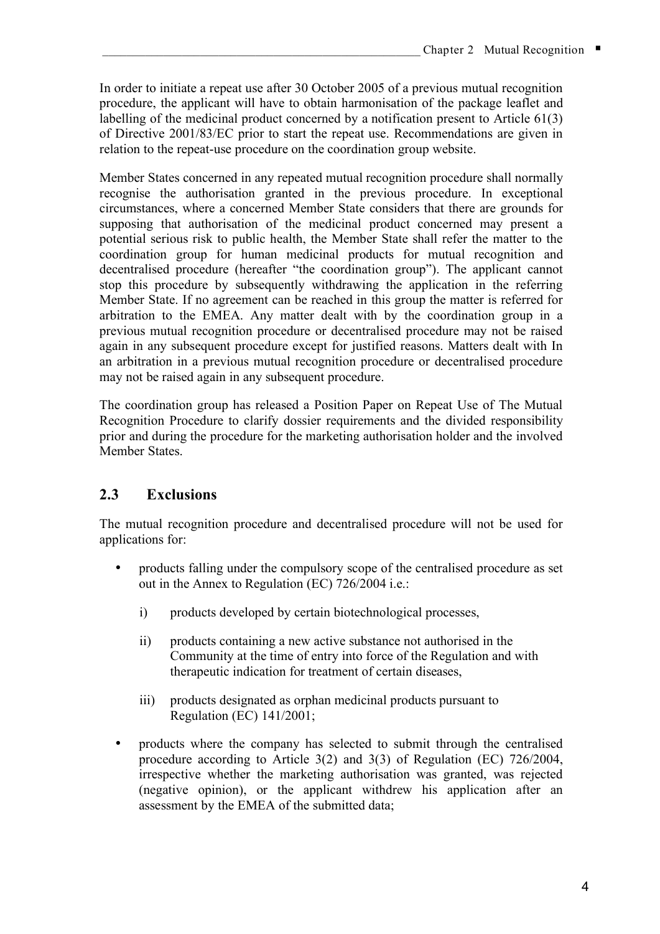In order to initiate a repeat use after 30 October 2005 of a previous mutual recognition procedure, the applicant will have to obtain harmonisation of the package leaflet and labelling of the medicinal product concerned by a notification present to Article 61(3) of Directive 2001/83/EC prior to start the repeat use. Recommendations are given in relation to the repeat-use procedure on the coordination group website.

Member States concerned in any repeated mutual recognition procedure shall normally recognise the authorisation granted in the previous procedure. In exceptional circumstances, where a concerned Member State considers that there are grounds for supposing that authorisation of the medicinal product concerned may present a potential serious risk to public health, the Member State shall refer the matter to the coordination group for human medicinal products for mutual recognition and decentralised procedure (hereafter "the coordination group"). The applicant cannot stop this procedure by subsequently withdrawing the application in the referring Member State. If no agreement can be reached in this group the matter is referred for arbitration to the EMEA. Any matter dealt with by the coordination group in a previous mutual recognition procedure or decentralised procedure may not be raised again in any subsequent procedure except for justified reasons. Matters dealt with In an arbitration in a previous mutual recognition procedure or decentralised procedure may not be raised again in any subsequent procedure.

The coordination group has released a Position Paper on Repeat Use of The Mutual Recognition Procedure to clarify dossier requirements and the divided responsibility prior and during the procedure for the marketing authorisation holder and the involved Member States.

# **2.3 Exclusions**

The mutual recognition procedure and decentralised procedure will not be used for applications for:

- products falling under the compulsory scope of the centralised procedure as set out in the Annex to Regulation (EC) 726/2004 i.e.:
	- i) products developed by certain biotechnological processes,
	- ii) products containing a new active substance not authorised in the Community at the time of entry into force of the Regulation and with therapeutic indication for treatment of certain diseases,
	- iii) products designated as orphan medicinal products pursuant to Regulation (EC) 141/2001;
- products where the company has selected to submit through the centralised procedure according to Article 3(2) and 3(3) of Regulation (EC) 726/2004, irrespective whether the marketing authorisation was granted, was rejected (negative opinion), or the applicant withdrew his application after an assessment by the EMEA of the submitted data;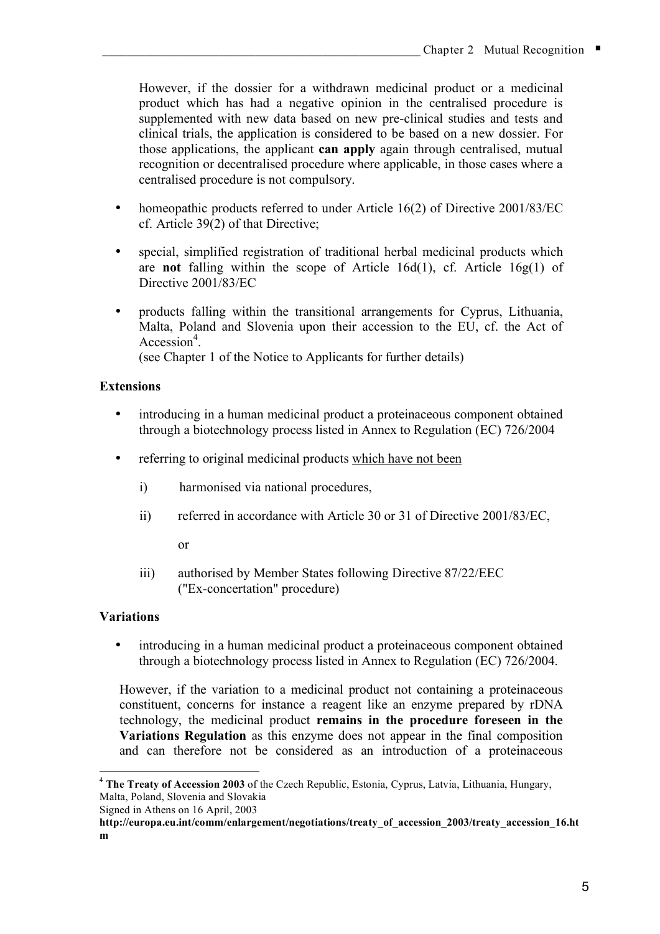However, if the dossier for a withdrawn medicinal product or a medicinal product which has had a negative opinion in the centralised procedure is supplemented with new data based on new pre-clinical studies and tests and clinical trials, the application is considered to be based on a new dossier. For those applications, the applicant **can apply** again through centralised, mutual recognition or decentralised procedure where applicable, in those cases where a centralised procedure is not compulsory.

- homeopathic products referred to under Article 16(2) of Directive 2001/83/EC cf. Article 39(2) of that Directive;
- special, simplified registration of traditional herbal medicinal products which are **not** falling within the scope of Article 16d(1), cf. Article 16g(1) of Directive 2001/83/EC
- products falling within the transitional arrangements for Cyprus, Lithuania, Malta, Poland and Slovenia upon their accession to the EU, cf. the Act of Accession<sup>4</sup>.

(see Chapter 1 of the Notice to Applicants for further details)

#### **Extensions**

- introducing in a human medicinal product a proteinaceous component obtained through a biotechnology process listed in Annex to Regulation (EC) 726/2004
- referring to original medicinal products which have not been
	- i) harmonised via national procedures,
	- ii) referred in accordance with Article 30 or 31 of Directive 2001/83/EC,

or

iii) authorised by Member States following Directive 87/22/EEC ("Ex-concertation" procedure)

#### **Variations**

• introducing in a human medicinal product a proteinaceous component obtained through a biotechnology process listed in Annex to Regulation (EC) 726/2004.

However, if the variation to a medicinal product not containing a proteinaceous constituent, concerns for instance a reagent like an enzyme prepared by rDNA technology, the medicinal product **remains in the procedure foreseen in the Variations Regulation** as this enzyme does not appear in the final composition and can therefore not be considered as an introduction of a proteinaceous

 <sup>4</sup> **The Treaty of Accession <sup>2003</sup>** of the Czech Republic, Estonia, Cyprus, Latvia, Lithuania, Hungary, Malta, Poland, Slovenia and Slovakia

Signed in Athens on 16 April, 2003

**http://europa.eu.int/comm/enlargement/negotiations/treaty\_of\_accession\_2003/treaty\_accession\_16.ht m**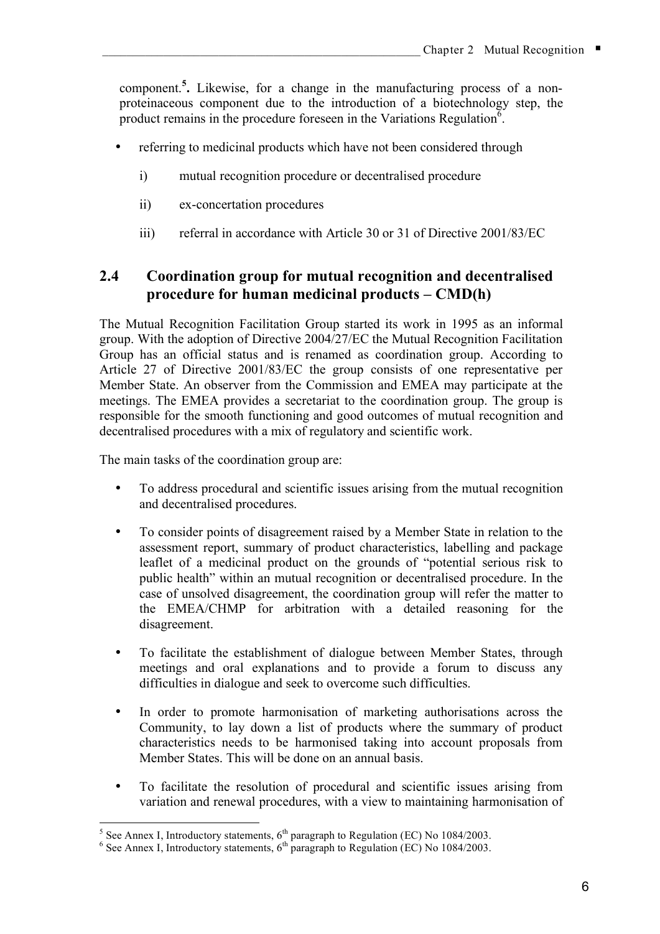component. **5 .** Likewise, for a change in the manufacturing process of a nonproteinaceous component due to the introduction of a biotechnology step, the product remains in the procedure foreseen in the Variations Regulation<sup> $\vec{6}$ </sup>.

- referring to medicinal products which have not been considered through
	- i) mutual recognition procedure or decentralised procedure
	- ii) ex-concertation procedures
	- iii) referral in accordance with Article 30 or 31 of Directive 2001/83/EC

# **2.4 Coordination group for mutual recognition and decentralised procedure for human medicinal products – CMD(h)**

The Mutual Recognition Facilitation Group started its work in 1995 as an informal group. With the adoption of Directive 2004/27/EC the Mutual Recognition Facilitation Group has an official status and is renamed as coordination group. According to Article 27 of Directive 2001/83/EC the group consists of one representative per Member State. An observer from the Commission and EMEA may participate at the meetings. The EMEA provides a secretariat to the coordination group. The group is responsible for the smooth functioning and good outcomes of mutual recognition and decentralised procedures with a mix of regulatory and scientific work.

The main tasks of the coordination group are:

- To address procedural and scientific issues arising from the mutual recognition and decentralised procedures.
- To consider points of disagreement raised by a Member State in relation to the assessment report, summary of product characteristics, labelling and package leaflet of a medicinal product on the grounds of "potential serious risk to public health" within an mutual recognition or decentralised procedure. In the case of unsolved disagreement, the coordination group will refer the matter to the EMEA/CHMP for arbitration with a detailed reasoning for the disagreement.
- To facilitate the establishment of dialogue between Member States, through meetings and oral explanations and to provide a forum to discuss any difficulties in dialogue and seek to overcome such difficulties.
- In order to promote harmonisation of marketing authorisations across the Community, to lay down a list of products where the summary of product characteristics needs to be harmonised taking into account proposals from Member States. This will be done on an annual basis.
- To facilitate the resolution of procedural and scientific issues arising from variation and renewal procedures, with a view to maintaining harmonisation of

<sup>&</sup>lt;sup>5</sup> See Annex I, Introductory statements,  $6^{th}$  paragraph to Regulation (EC) No 1084/2003. <sup>6</sup> See Annex I, Introductory statements,  $6^{th}$  paragraph to Regulation (EC) No 1084/2003.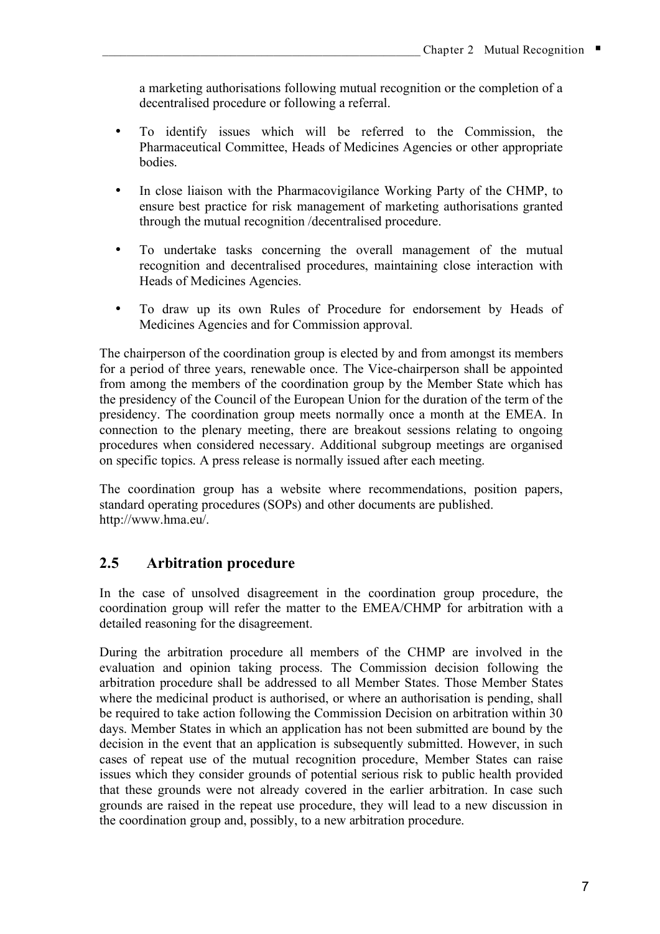a marketing authorisations following mutual recognition or the completion of a decentralised procedure or following a referral.

- To identify issues which will be referred to the Commission, the Pharmaceutical Committee, Heads of Medicines Agencies or other appropriate bodies.
- In close liaison with the Pharmacovigilance Working Party of the CHMP, to ensure best practice for risk management of marketing authorisations granted through the mutual recognition /decentralised procedure.
- To undertake tasks concerning the overall management of the mutual recognition and decentralised procedures, maintaining close interaction with Heads of Medicines Agencies.
- To draw up its own Rules of Procedure for endorsement by Heads of Medicines Agencies and for Commission approval.

The chairperson of the coordination group is elected by and from amongst its members for a period of three years, renewable once. The Vice-chairperson shall be appointed from among the members of the coordination group by the Member State which has the presidency of the Council of the European Union for the duration of the term of the presidency. The coordination group meets normally once a month at the EMEA. In connection to the plenary meeting, there are breakout sessions relating to ongoing procedures when considered necessary. Additional subgroup meetings are organised on specific topics. A press release is normally issued after each meeting.

The coordination group has a website where recommendations, position papers, standard operating procedures (SOPs) and other documents are published. http://www.hma.eu/.

# **2.5 Arbitration procedure**

In the case of unsolved disagreement in the coordination group procedure, the coordination group will refer the matter to the EMEA/CHMP for arbitration with a detailed reasoning for the disagreement.

During the arbitration procedure all members of the CHMP are involved in the evaluation and opinion taking process. The Commission decision following the arbitration procedure shall be addressed to all Member States. Those Member States where the medicinal product is authorised, or where an authorisation is pending, shall be required to take action following the Commission Decision on arbitration within 30 days. Member States in which an application has not been submitted are bound by the decision in the event that an application is subsequently submitted. However, in such cases of repeat use of the mutual recognition procedure, Member States can raise issues which they consider grounds of potential serious risk to public health provided that these grounds were not already covered in the earlier arbitration. In case such grounds are raised in the repeat use procedure, they will lead to a new discussion in the coordination group and, possibly, to a new arbitration procedure.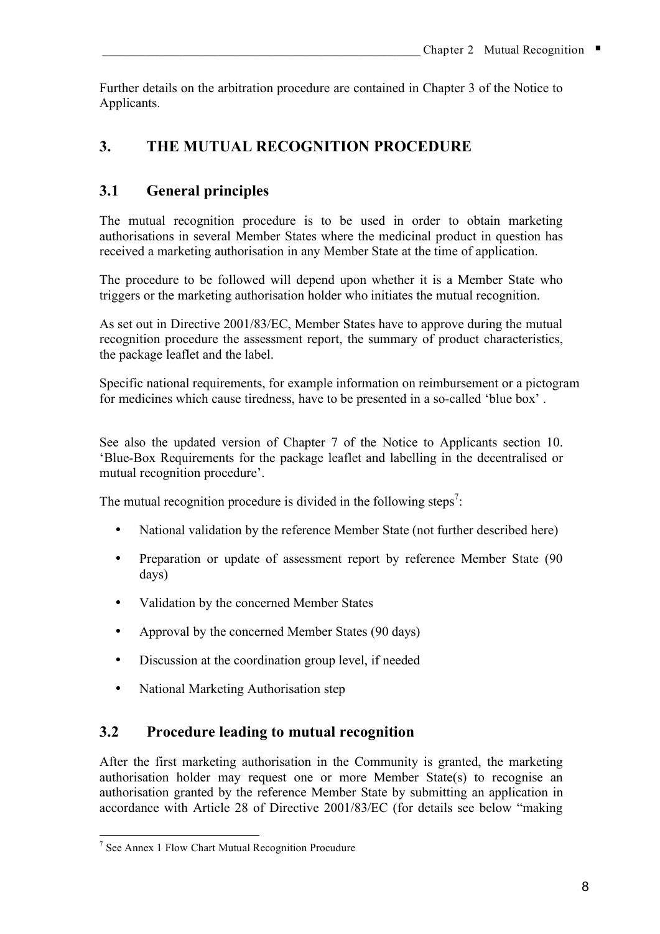Further details on the arbitration procedure are contained in Chapter 3 of the Notice to Applicants.

# **3. THE MUTUAL RECOGNITION PROCEDURE**

# **3.1 General principles**

The mutual recognition procedure is to be used in order to obtain marketing authorisations in several Member States where the medicinal product in question has received a marketing authorisation in any Member State at the time of application.

The procedure to be followed will depend upon whether it is a Member State who triggers or the marketing authorisation holder who initiates the mutual recognition.

As set out in Directive 2001/83/EC, Member States have to approve during the mutual recognition procedure the assessment report, the summary of product characteristics, the package leaflet and the label.

Specific national requirements, for example information on reimbursement or a pictogram for medicines which cause tiredness, have to be presented in a so-called 'blue box' .

See also the updated version of Chapter 7 of the Notice to Applicants section 10. 'Blue-Box Requirements for the package leaflet and labelling in the decentralised or mutual recognition procedure'.

The mutual recognition procedure is divided in the following steps<sup>7</sup>:

- National validation by the reference Member State (not further described here)
- Preparation or update of assessment report by reference Member State (90) days)
- Validation by the concerned Member States
- Approval by the concerned Member States (90 days)
- Discussion at the coordination group level, if needed
- National Marketing Authorisation step

# **3.2 Procedure leading to mutual recognition**

After the first marketing authorisation in the Community is granted, the marketing authorisation holder may request one or more Member State(s) to recognise an authorisation granted by the reference Member State by submitting an application in accordance with Article 28 of Directive 2001/83/EC (for details see below "making

 <sup>7</sup> See Annex <sup>1</sup> Flow Chart Mutual Recognition Procudure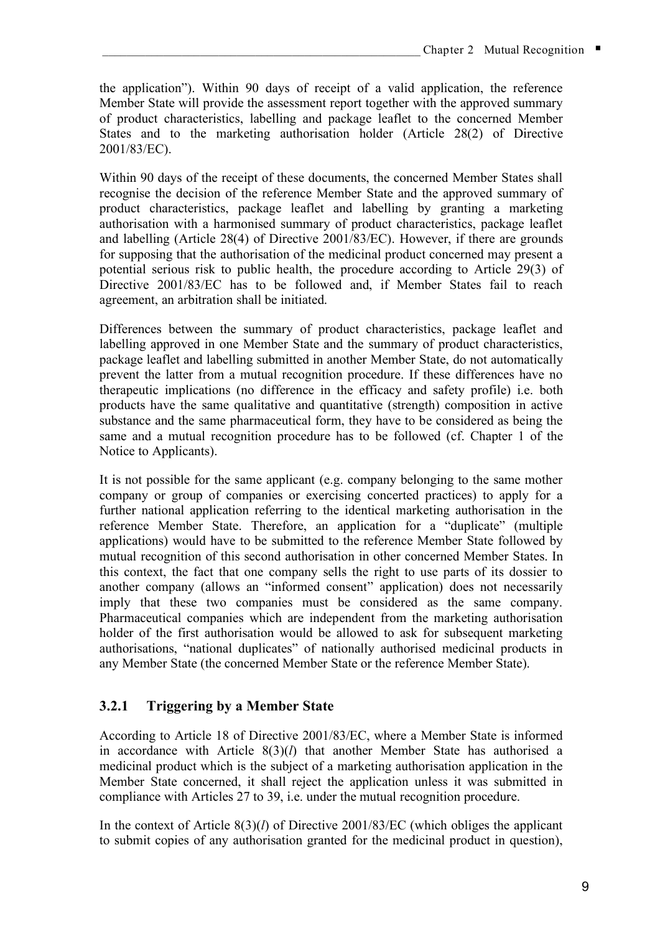the application"). Within 90 days of receipt of a valid application, the reference Member State will provide the assessment report together with the approved summary of product characteristics, labelling and package leaflet to the concerned Member States and to the marketing authorisation holder (Article 28(2) of Directive 2001/83/EC).

Within 90 days of the receipt of these documents, the concerned Member States shall recognise the decision of the reference Member State and the approved summary of product characteristics, package leaflet and labelling by granting a marketing authorisation with a harmonised summary of product characteristics, package leaflet and labelling (Article 28(4) of Directive 2001/83/EC). However, if there are grounds for supposing that the authorisation of the medicinal product concerned may present a potential serious risk to public health, the procedure according to Article 29(3) of Directive 2001/83/EC has to be followed and, if Member States fail to reach agreement, an arbitration shall be initiated.

Differences between the summary of product characteristics, package leaflet and labelling approved in one Member State and the summary of product characteristics, package leaflet and labelling submitted in another Member State, do not automatically prevent the latter from a mutual recognition procedure. If these differences have no therapeutic implications (no difference in the efficacy and safety profile) i.e. both products have the same qualitative and quantitative (strength) composition in active substance and the same pharmaceutical form, they have to be considered as being the same and a mutual recognition procedure has to be followed (cf. Chapter 1 of the Notice to Applicants).

It is not possible for the same applicant (e.g. company belonging to the same mother company or group of companies or exercising concerted practices) to apply for a further national application referring to the identical marketing authorisation in the reference Member State. Therefore, an application for a "duplicate" (multiple applications) would have to be submitted to the reference Member State followed by mutual recognition of this second authorisation in other concerned Member States. In this context, the fact that one company sells the right to use parts of its dossier to another company (allows an "informed consent" application) does not necessarily imply that these two companies must be considered as the same company. Pharmaceutical companies which are independent from the marketing authorisation holder of the first authorisation would be allowed to ask for subsequent marketing authorisations, "national duplicates" of nationally authorised medicinal products in any Member State (the concerned Member State or the reference Member State).

# **3.2.1 Triggering by a Member State**

According to Article 18 of Directive 2001/83/EC, where a Member State is informed in accordance with Article 8(3)(*l*) that another Member State has authorised a medicinal product which is the subject of a marketing authorisation application in the Member State concerned, it shall reject the application unless it was submitted in compliance with Articles 27 to 39, i.e. under the mutual recognition procedure.

In the context of Article 8(3)(*l*) of Directive 2001/83/EC (which obliges the applicant to submit copies of any authorisation granted for the medicinal product in question),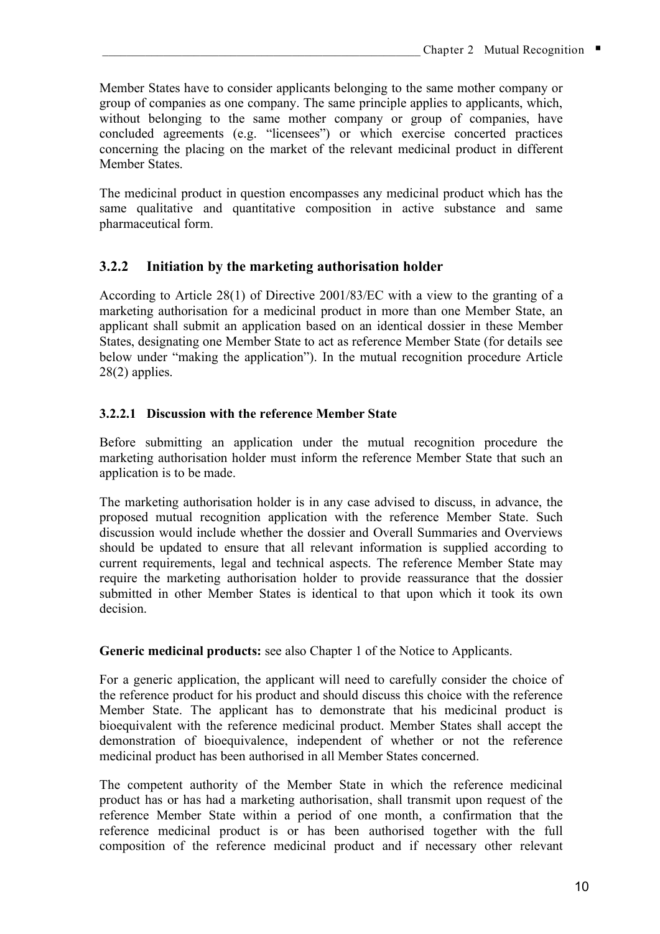Member States have to consider applicants belonging to the same mother company or group of companies as one company. The same principle applies to applicants, which, without belonging to the same mother company or group of companies, have concluded agreements (e.g. "licensees") or which exercise concerted practices concerning the placing on the market of the relevant medicinal product in different Member States.

The medicinal product in question encompasses any medicinal product which has the same qualitative and quantitative composition in active substance and same pharmaceutical form.

## **3.2.2 Initiation by the marketing authorisation holder**

According to Article 28(1) of Directive 2001/83/EC with a view to the granting of a marketing authorisation for a medicinal product in more than one Member State, an applicant shall submit an application based on an identical dossier in these Member States, designating one Member State to act as reference Member State (for details see below under "making the application"). In the mutual recognition procedure Article 28(2) applies.

### **3.2.2.1 Discussion with the reference Member State**

Before submitting an application under the mutual recognition procedure the marketing authorisation holder must inform the reference Member State that such an application is to be made.

The marketing authorisation holder is in any case advised to discuss, in advance, the proposed mutual recognition application with the reference Member State. Such discussion would include whether the dossier and Overall Summaries and Overviews should be updated to ensure that all relevant information is supplied according to current requirements, legal and technical aspects. The reference Member State may require the marketing authorisation holder to provide reassurance that the dossier submitted in other Member States is identical to that upon which it took its own decision.

#### **Generic medicinal products:** see also Chapter 1 of the Notice to Applicants.

For a generic application, the applicant will need to carefully consider the choice of the reference product for his product and should discuss this choice with the reference Member State. The applicant has to demonstrate that his medicinal product is bioequivalent with the reference medicinal product. Member States shall accept the demonstration of bioequivalence, independent of whether or not the reference medicinal product has been authorised in all Member States concerned.

The competent authority of the Member State in which the reference medicinal product has or has had a marketing authorisation, shall transmit upon request of the reference Member State within a period of one month, a confirmation that the reference medicinal product is or has been authorised together with the full composition of the reference medicinal product and if necessary other relevant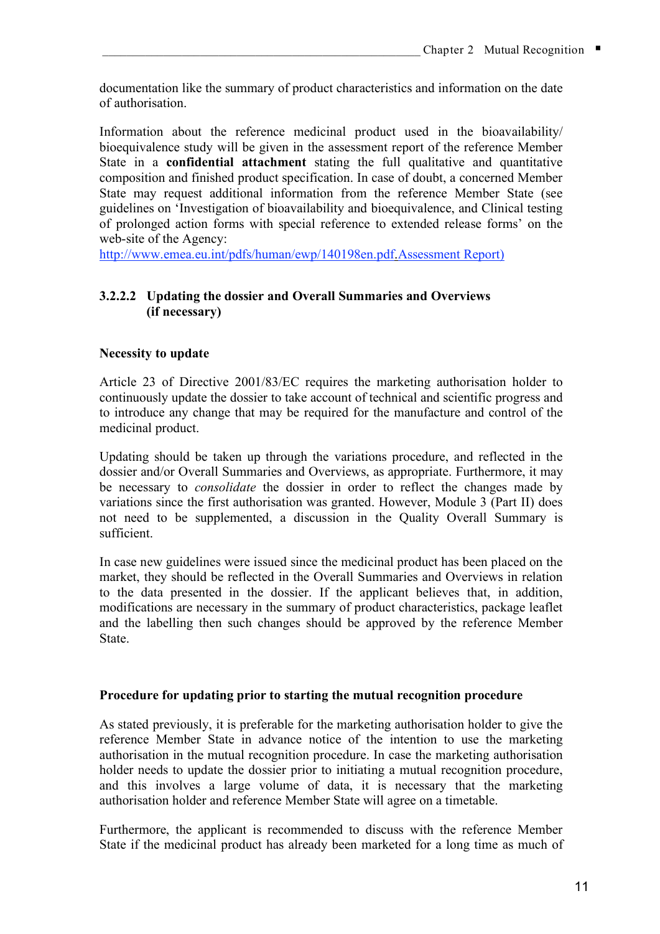documentation like the summary of product characteristics and information on the date of authorisation.

Information about the reference medicinal product used in the bioavailability/ bioequivalence study will be given in the assessment report of the reference Member State in a **confidential attachment** stating the full qualitative and quantitative composition and finished product specification. In case of doubt, a concerned Member State may request additional information from the reference Member State (see guidelines on 'Investigation of bioavailability and bioequivalence, and Clinical testing of prolonged action forms with special reference to extended release forms' on the web-site of the Agency:

http://www.emea.eu.int/pdfs/human/ewp/140198en.pdf.Assessment Report)

### **3.2.2.2 Updating the dossier and Overall Summaries and Overviews (if necessary)**

#### **Necessity to update**

Article 23 of Directive 2001/83/EC requires the marketing authorisation holder to continuously update the dossier to take account of technical and scientific progress and to introduce any change that may be required for the manufacture and control of the medicinal product.

Updating should be taken up through the variations procedure, and reflected in the dossier and/or Overall Summaries and Overviews, as appropriate. Furthermore, it may be necessary to *consolidate* the dossier in order to reflect the changes made by variations since the first authorisation was granted. However, Module 3 (Part II) does not need to be supplemented, a discussion in the Quality Overall Summary is sufficient.

In case new guidelines were issued since the medicinal product has been placed on the market, they should be reflected in the Overall Summaries and Overviews in relation to the data presented in the dossier. If the applicant believes that, in addition, modifications are necessary in the summary of product characteristics, package leaflet and the labelling then such changes should be approved by the reference Member State.

#### **Procedure for updating prior to starting the mutual recognition procedure**

As stated previously, it is preferable for the marketing authorisation holder to give the reference Member State in advance notice of the intention to use the marketing authorisation in the mutual recognition procedure. In case the marketing authorisation holder needs to update the dossier prior to initiating a mutual recognition procedure, and this involves a large volume of data, it is necessary that the marketing authorisation holder and reference Member State will agree on a timetable.

Furthermore, the applicant is recommended to discuss with the reference Member State if the medicinal product has already been marketed for a long time as much of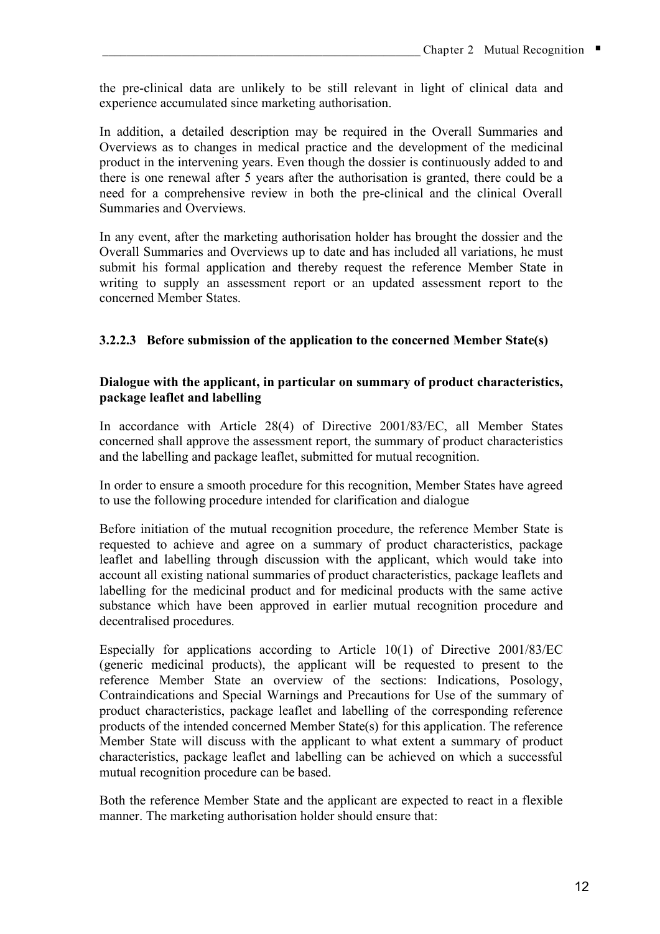the pre-clinical data are unlikely to be still relevant in light of clinical data and experience accumulated since marketing authorisation.

In addition, a detailed description may be required in the Overall Summaries and Overviews as to changes in medical practice and the development of the medicinal product in the intervening years. Even though the dossier is continuously added to and there is one renewal after 5 years after the authorisation is granted, there could be a need for a comprehensive review in both the pre-clinical and the clinical Overall Summaries and Overviews.

In any event, after the marketing authorisation holder has brought the dossier and the Overall Summaries and Overviews up to date and has included all variations, he must submit his formal application and thereby request the reference Member State in writing to supply an assessment report or an updated assessment report to the concerned Member States.

### **3.2.2.3 Before submission of the application to the concerned Member State(s)**

#### **Dialogue with the applicant, in particular on summary of product characteristics, package leaflet and labelling**

In accordance with Article 28(4) of Directive 2001/83/EC, all Member States concerned shall approve the assessment report, the summary of product characteristics and the labelling and package leaflet, submitted for mutual recognition.

In order to ensure a smooth procedure for this recognition, Member States have agreed to use the following procedure intended for clarification and dialogue

Before initiation of the mutual recognition procedure, the reference Member State is requested to achieve and agree on a summary of product characteristics, package leaflet and labelling through discussion with the applicant, which would take into account all existing national summaries of product characteristics, package leaflets and labelling for the medicinal product and for medicinal products with the same active substance which have been approved in earlier mutual recognition procedure and decentralised procedures.

Especially for applications according to Article 10(1) of Directive 2001/83/EC (generic medicinal products), the applicant will be requested to present to the reference Member State an overview of the sections: Indications, Posology, Contraindications and Special Warnings and Precautions for Use of the summary of product characteristics, package leaflet and labelling of the corresponding reference products of the intended concerned Member State(s) for this application. The reference Member State will discuss with the applicant to what extent a summary of product characteristics, package leaflet and labelling can be achieved on which a successful mutual recognition procedure can be based.

Both the reference Member State and the applicant are expected to react in a flexible manner. The marketing authorisation holder should ensure that: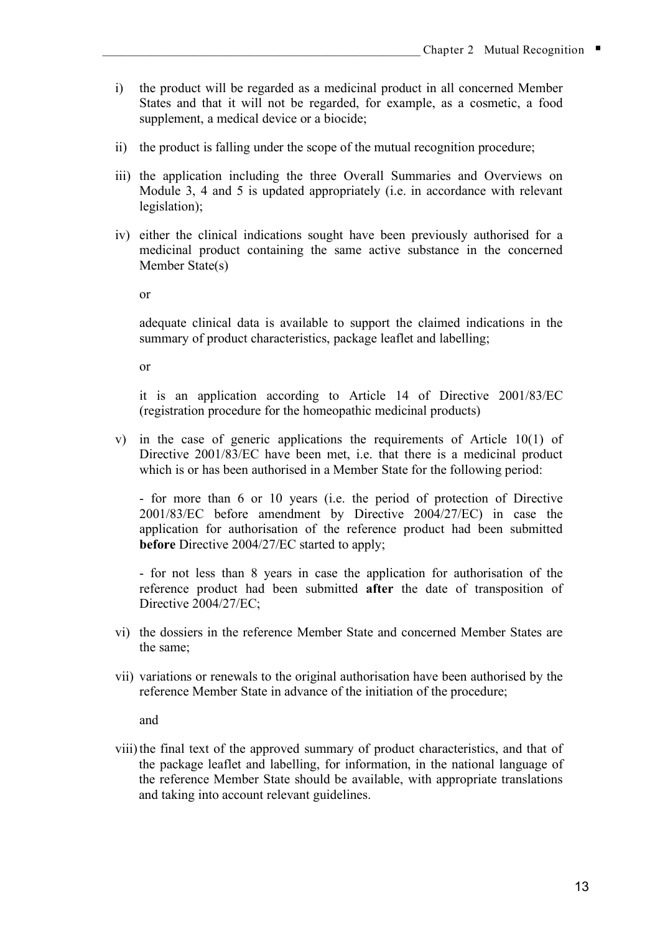- i) the product will be regarded as a medicinal product in all concerned Member States and that it will not be regarded, for example, as a cosmetic, a food supplement, a medical device or a biocide;
- ii) the product is falling under the scope of the mutual recognition procedure;
- iii) the application including the three Overall Summaries and Overviews on Module 3, 4 and 5 is updated appropriately (i.e. in accordance with relevant legislation);
- iv) either the clinical indications sought have been previously authorised for a medicinal product containing the same active substance in the concerned Member State(s)

or

adequate clinical data is available to support the claimed indications in the summary of product characteristics, package leaflet and labelling;

or

it is an application according to Article 14 of Directive 2001/83/EC (registration procedure for the homeopathic medicinal products)

v) in the case of generic applications the requirements of Article 10(1) of Directive 2001/83/EC have been met, i.e. that there is a medicinal product which is or has been authorised in a Member State for the following period:

- for more than 6 or 10 years (i.e. the period of protection of Directive 2001/83/EC before amendment by Directive 2004/27/EC) in case the application for authorisation of the reference product had been submitted **before** Directive 2004/27/EC started to apply;

- for not less than 8 years in case the application for authorisation of the reference product had been submitted **after** the date of transposition of Directive 2004/27/EC;

- vi) the dossiers in the reference Member State and concerned Member States are the same;
- vii) variations or renewals to the original authorisation have been authorised by the reference Member State in advance of the initiation of the procedure;

and

viii) the final text of the approved summary of product characteristics, and that of the package leaflet and labelling, for information, in the national language of the reference Member State should be available, with appropriate translations and taking into account relevant guidelines.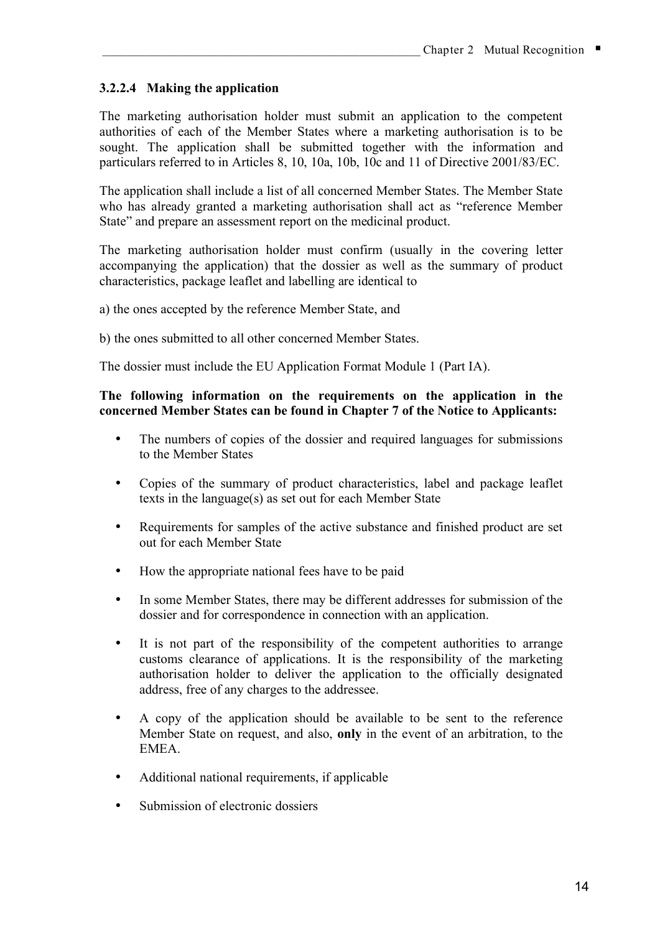### **3.2.2.4 Making the application**

The marketing authorisation holder must submit an application to the competent authorities of each of the Member States where a marketing authorisation is to be sought. The application shall be submitted together with the information and particulars referred to in Articles 8, 10, 10a, 10b, 10c and 11 of Directive 2001/83/EC.

The application shall include a list of all concerned Member States. The Member State who has already granted a marketing authorisation shall act as "reference Member State" and prepare an assessment report on the medicinal product.

The marketing authorisation holder must confirm (usually in the covering letter accompanying the application) that the dossier as well as the summary of product characteristics, package leaflet and labelling are identical to

a) the ones accepted by the reference Member State, and

b) the ones submitted to all other concerned Member States.

The dossier must include the EU Application Format Module 1 (Part IA).

#### **The following information on the requirements on the application in the concerned Member States can be found in Chapter 7 of the Notice to Applicants:**

- The numbers of copies of the dossier and required languages for submissions to the Member States
- Copies of the summary of product characteristics, label and package leaflet texts in the language(s) as set out for each Member State
- Requirements for samples of the active substance and finished product are set out for each Member State
- How the appropriate national fees have to be paid
- In some Member States, there may be different addresses for submission of the dossier and for correspondence in connection with an application.
- It is not part of the responsibility of the competent authorities to arrange customs clearance of applications. It is the responsibility of the marketing authorisation holder to deliver the application to the officially designated address, free of any charges to the addressee.
- A copy of the application should be available to be sent to the reference Member State on request, and also, **only** in the event of an arbitration, to the **EMEA**
- Additional national requirements, if applicable
- Submission of electronic dossiers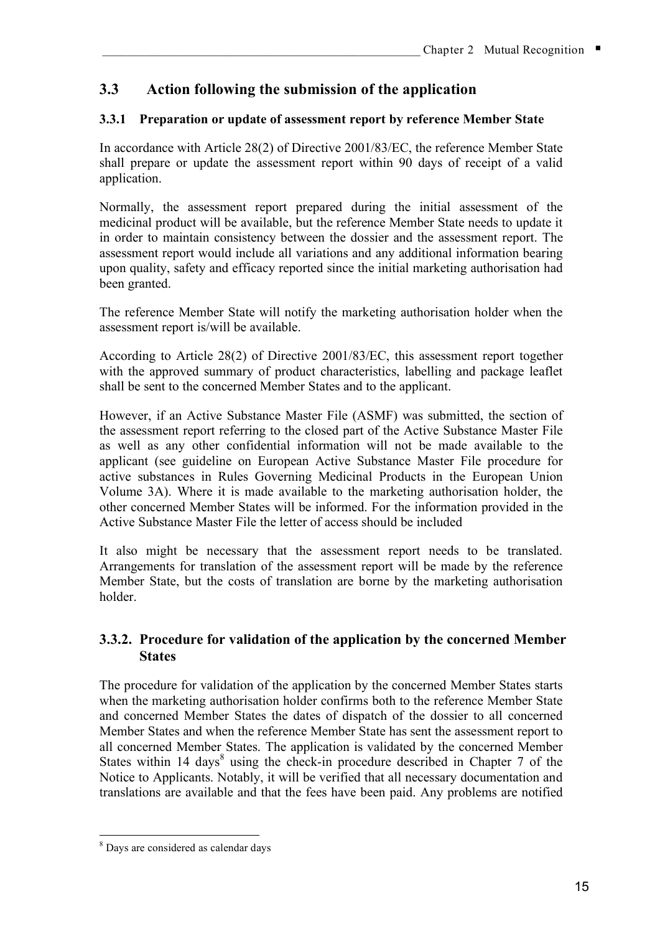# **3.3 Action following the submission of the application**

### **3.3.1 Preparation or update of assessment report by reference Member State**

In accordance with Article 28(2) of Directive 2001/83/EC, the reference Member State shall prepare or update the assessment report within 90 days of receipt of a valid application.

Normally, the assessment report prepared during the initial assessment of the medicinal product will be available, but the reference Member State needs to update it in order to maintain consistency between the dossier and the assessment report. The assessment report would include all variations and any additional information bearing upon quality, safety and efficacy reported since the initial marketing authorisation had been granted.

The reference Member State will notify the marketing authorisation holder when the assessment report is/will be available.

According to Article 28(2) of Directive 2001/83/EC, this assessment report together with the approved summary of product characteristics, labelling and package leaflet shall be sent to the concerned Member States and to the applicant.

However, if an Active Substance Master File (ASMF) was submitted, the section of the assessment report referring to the closed part of the Active Substance Master File as well as any other confidential information will not be made available to the applicant (see guideline on European Active Substance Master File procedure for active substances in Rules Governing Medicinal Products in the European Union Volume 3A). Where it is made available to the marketing authorisation holder, the other concerned Member States will be informed. For the information provided in the Active Substance Master File the letter of access should be included

It also might be necessary that the assessment report needs to be translated. Arrangements for translation of the assessment report will be made by the reference Member State, but the costs of translation are borne by the marketing authorisation holder.

### **3.3.2. Procedure for validation of the application by the concerned Member States**

The procedure for validation of the application by the concerned Member States starts when the marketing authorisation holder confirms both to the reference Member State and concerned Member States the dates of dispatch of the dossier to all concerned Member States and when the reference Member State has sent the assessment report to all concerned Member States. The application is validated by the concerned Member States within 14 days<sup>8</sup> using the check-in procedure described in Chapter 7 of the Notice to Applicants. Notably, it will be verified that all necessary documentation and translations are available and that the fees have been paid. Any problems are notified

 <sup>8</sup> Days are considered as calendar days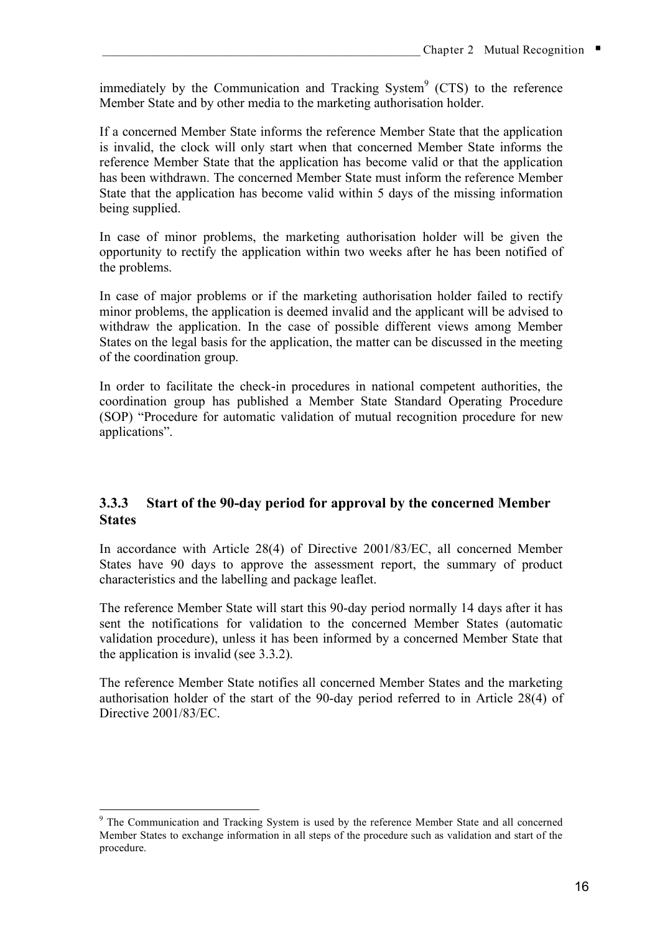immediately by the Communication and Tracking System $<sup>9</sup>$  (CTS) to the reference</sup> Member State and by other media to the marketing authorisation holder.

If a concerned Member State informs the reference Member State that the application is invalid, the clock will only start when that concerned Member State informs the reference Member State that the application has become valid or that the application has been withdrawn. The concerned Member State must inform the reference Member State that the application has become valid within 5 days of the missing information being supplied.

In case of minor problems, the marketing authorisation holder will be given the opportunity to rectify the application within two weeks after he has been notified of the problems.

In case of major problems or if the marketing authorisation holder failed to rectify minor problems, the application is deemed invalid and the applicant will be advised to withdraw the application. In the case of possible different views among Member States on the legal basis for the application, the matter can be discussed in the meeting of the coordination group.

In order to facilitate the check-in procedures in national competent authorities, the coordination group has published a Member State Standard Operating Procedure (SOP) "Procedure for automatic validation of mutual recognition procedure for new applications".

### **3.3.3 Start of the 90-day period for approval by the concerned Member States**

In accordance with Article 28(4) of Directive 2001/83/EC, all concerned Member States have 90 days to approve the assessment report, the summary of product characteristics and the labelling and package leaflet.

The reference Member State will start this 90-day period normally 14 days after it has sent the notifications for validation to the concerned Member States (automatic validation procedure), unless it has been informed by a concerned Member State that the application is invalid (see 3.3.2).

The reference Member State notifies all concerned Member States and the marketing authorisation holder of the start of the 90-day period referred to in Article 28(4) of Directive 2001/83/EC.

 <sup>9</sup> The Communication and Tracking System is used by the reference Member State and all concerned Member States to exchange information in all steps of the procedure such as validation and start of the procedure.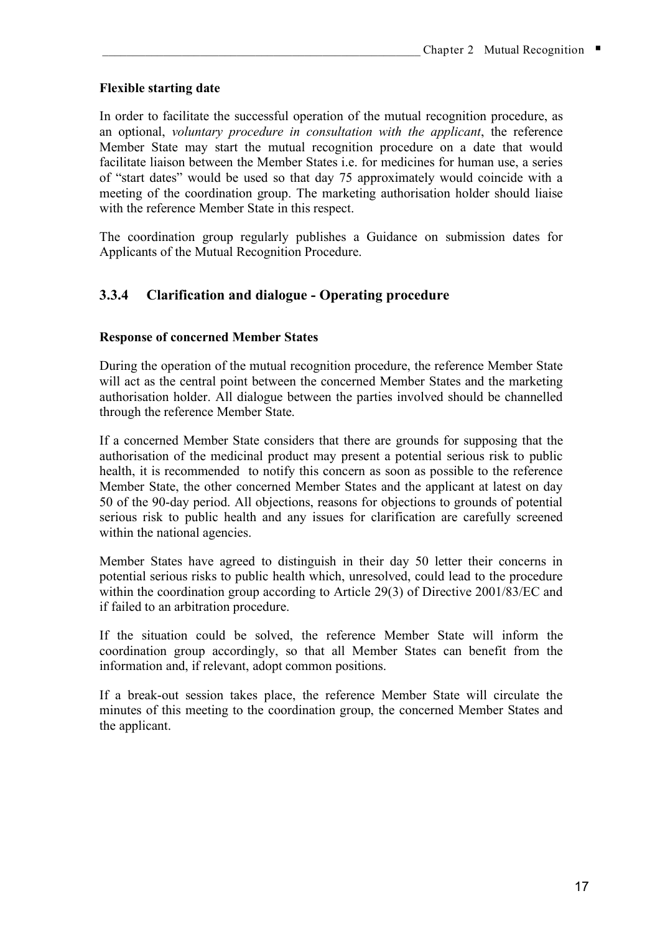### **Flexible starting date**

In order to facilitate the successful operation of the mutual recognition procedure, as an optional, *voluntary procedure in consultation with the applicant*, the reference Member State may start the mutual recognition procedure on a date that would facilitate liaison between the Member States i.e. for medicines for human use, a series of "start dates" would be used so that day 75 approximately would coincide with a meeting of the coordination group. The marketing authorisation holder should liaise with the reference Member State in this respect.

The coordination group regularly publishes a Guidance on submission dates for Applicants of the Mutual Recognition Procedure.

## **3.3.4 Clarification and dialogue - Operating procedure**

#### **Response of concerned Member States**

During the operation of the mutual recognition procedure, the reference Member State will act as the central point between the concerned Member States and the marketing authorisation holder. All dialogue between the parties involved should be channelled through the reference Member State.

If a concerned Member State considers that there are grounds for supposing that the authorisation of the medicinal product may present a potential serious risk to public health, it is recommended to notify this concern as soon as possible to the reference Member State, the other concerned Member States and the applicant at latest on day 50 of the 90-day period. All objections, reasons for objections to grounds of potential serious risk to public health and any issues for clarification are carefully screened within the national agencies.

Member States have agreed to distinguish in their day 50 letter their concerns in potential serious risks to public health which, unresolved, could lead to the procedure within the coordination group according to Article 29(3) of Directive 2001/83/EC and if failed to an arbitration procedure.

If the situation could be solved, the reference Member State will inform the coordination group accordingly, so that all Member States can benefit from the information and, if relevant, adopt common positions.

If a break-out session takes place, the reference Member State will circulate the minutes of this meeting to the coordination group, the concerned Member States and the applicant.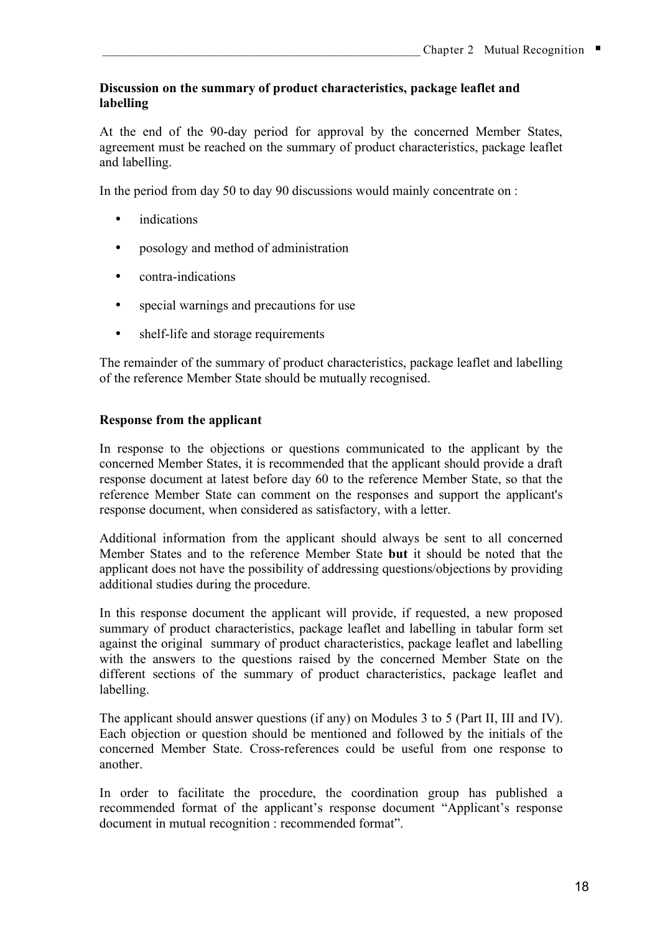#### **Discussion on the summary of product characteristics, package leaflet and labelling**

At the end of the 90-day period for approval by the concerned Member States, agreement must be reached on the summary of product characteristics, package leaflet and labelling.

In the period from day 50 to day 90 discussions would mainly concentrate on :

- indications
- posology and method of administration
- contra-indications
- special warnings and precautions for use
- shelf-life and storage requirements

The remainder of the summary of product characteristics, package leaflet and labelling of the reference Member State should be mutually recognised.

#### **Response from the applicant**

In response to the objections or questions communicated to the applicant by the concerned Member States, it is recommended that the applicant should provide a draft response document at latest before day 60 to the reference Member State, so that the reference Member State can comment on the responses and support the applicant's response document, when considered as satisfactory, with a letter.

Additional information from the applicant should always be sent to all concerned Member States and to the reference Member State **but** it should be noted that the applicant does not have the possibility of addressing questions/objections by providing additional studies during the procedure.

In this response document the applicant will provide, if requested, a new proposed summary of product characteristics, package leaflet and labelling in tabular form set against the original summary of product characteristics, package leaflet and labelling with the answers to the questions raised by the concerned Member State on the different sections of the summary of product characteristics, package leaflet and labelling.

The applicant should answer questions (if any) on Modules 3 to 5 (Part II, III and IV). Each objection or question should be mentioned and followed by the initials of the concerned Member State. Cross-references could be useful from one response to another.

In order to facilitate the procedure, the coordination group has published a recommended format of the applicant's response document "Applicant's response document in mutual recognition : recommended format".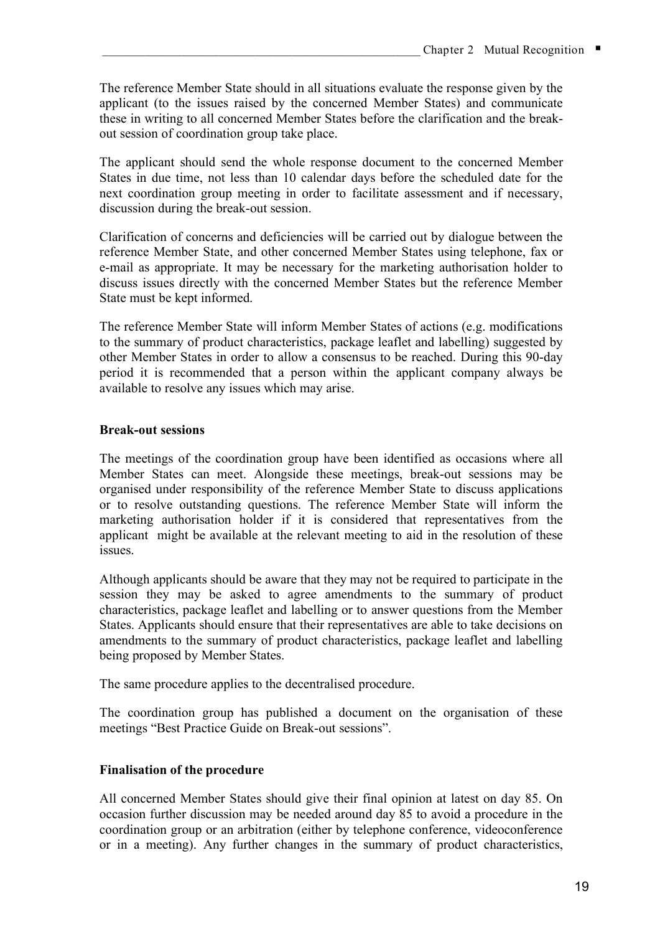The reference Member State should in all situations evaluate the response given by the applicant (to the issues raised by the concerned Member States) and communicate these in writing to all concerned Member States before the clarification and the breakout session of coordination group take place.

The applicant should send the whole response document to the concerned Member States in due time, not less than 10 calendar days before the scheduled date for the next coordination group meeting in order to facilitate assessment and if necessary, discussion during the break-out session.

Clarification of concerns and deficiencies will be carried out by dialogue between the reference Member State, and other concerned Member States using telephone, fax or e-mail as appropriate. It may be necessary for the marketing authorisation holder to discuss issues directly with the concerned Member States but the reference Member State must be kept informed.

The reference Member State will inform Member States of actions (e.g. modifications to the summary of product characteristics, package leaflet and labelling) suggested by other Member States in order to allow a consensus to be reached. During this 90-day period it is recommended that a person within the applicant company always be available to resolve any issues which may arise.

### **Break-out sessions**

The meetings of the coordination group have been identified as occasions where all Member States can meet. Alongside these meetings, break-out sessions may be organised under responsibility of the reference Member State to discuss applications or to resolve outstanding questions. The reference Member State will inform the marketing authorisation holder if it is considered that representatives from the applicant might be available at the relevant meeting to aid in the resolution of these issues.

Although applicants should be aware that they may not be required to participate in the session they may be asked to agree amendments to the summary of product characteristics, package leaflet and labelling or to answer questions from the Member States. Applicants should ensure that their representatives are able to take decisions on amendments to the summary of product characteristics, package leaflet and labelling being proposed by Member States.

The same procedure applies to the decentralised procedure.

The coordination group has published a document on the organisation of these meetings "Best Practice Guide on Break-out sessions".

#### **Finalisation of the procedure**

All concerned Member States should give their final opinion at latest on day 85. On occasion further discussion may be needed around day 85 to avoid a procedure in the coordination group or an arbitration (either by telephone conference, videoconference or in a meeting). Any further changes in the summary of product characteristics,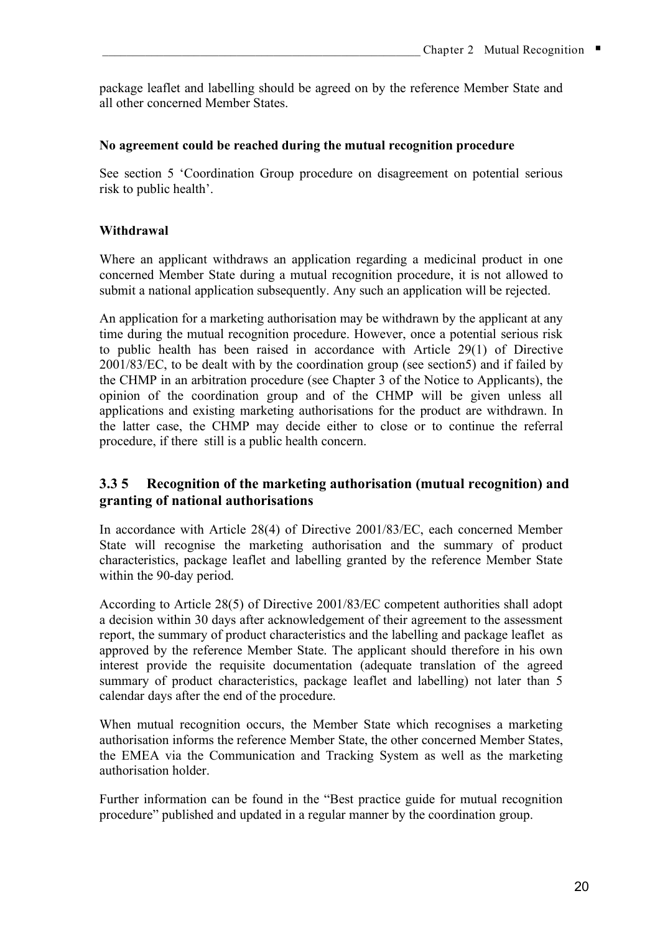package leaflet and labelling should be agreed on by the reference Member State and all other concerned Member States.

#### **No agreement could be reached during the mutual recognition procedure**

See section 5 'Coordination Group procedure on disagreement on potential serious risk to public health'.

#### **Withdrawal**

Where an applicant withdraws an application regarding a medicinal product in one concerned Member State during a mutual recognition procedure, it is not allowed to submit a national application subsequently. Any such an application will be rejected.

An application for a marketing authorisation may be withdrawn by the applicant at any time during the mutual recognition procedure. However, once a potential serious risk to public health has been raised in accordance with Article 29(1) of Directive 2001/83/EC, to be dealt with by the coordination group (see section5) and if failed by the CHMP in an arbitration procedure (see Chapter 3 of the Notice to Applicants), the opinion of the coordination group and of the CHMP will be given unless all applications and existing marketing authorisations for the product are withdrawn. In the latter case, the CHMP may decide either to close or to continue the referral procedure, if there still is a public health concern.

### **3.3 5 Recognition of the marketing authorisation (mutual recognition) and granting of national authorisations**

In accordance with Article 28(4) of Directive 2001/83/EC, each concerned Member State will recognise the marketing authorisation and the summary of product characteristics, package leaflet and labelling granted by the reference Member State within the 90-day period.

According to Article 28(5) of Directive 2001/83/EC competent authorities shall adopt a decision within 30 days after acknowledgement of their agreement to the assessment report, the summary of product characteristics and the labelling and package leaflet as approved by the reference Member State. The applicant should therefore in his own interest provide the requisite documentation (adequate translation of the agreed summary of product characteristics, package leaflet and labelling) not later than 5 calendar days after the end of the procedure.

When mutual recognition occurs, the Member State which recognises a marketing authorisation informs the reference Member State, the other concerned Member States, the EMEA via the Communication and Tracking System as well as the marketing authorisation holder.

Further information can be found in the "Best practice guide for mutual recognition procedure" published and updated in a regular manner by the coordination group.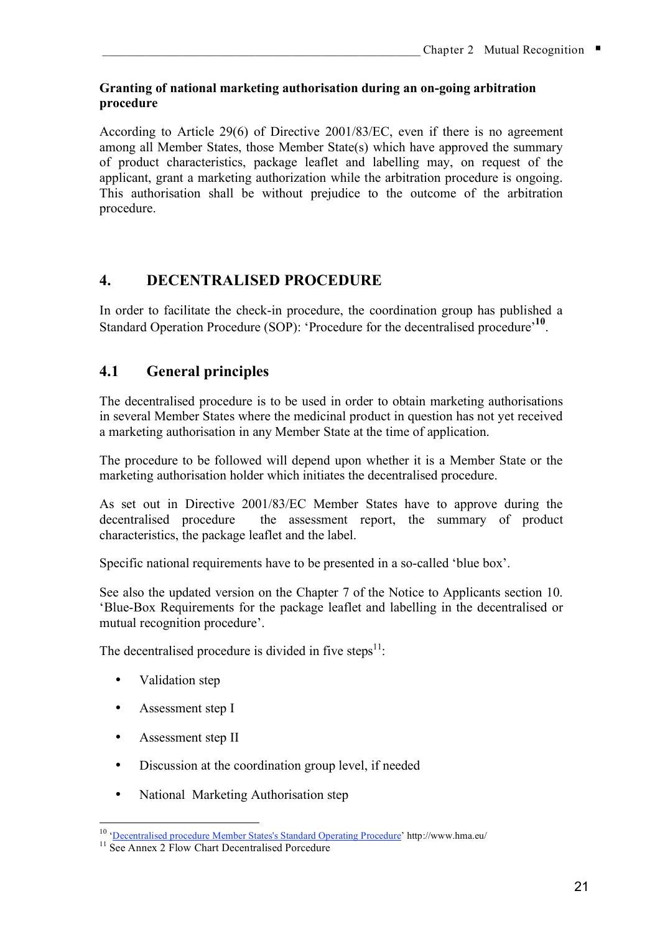#### **Granting of national marketing authorisation during an on-going arbitration procedure**

According to Article 29(6) of Directive 2001/83/EC, even if there is no agreement among all Member States, those Member State(s) which have approved the summary of product characteristics, package leaflet and labelling may, on request of the applicant, grant a marketing authorization while the arbitration procedure is ongoing. This authorisation shall be without prejudice to the outcome of the arbitration procedure.

# **4. DECENTRALISED PROCEDURE**

In order to facilitate the check-in procedure, the coordination group has published a Standard Operation Procedure (SOP): 'Procedure for the decentralised procedure'<sup>10</sup>.

# **4.1 General principles**

The decentralised procedure is to be used in order to obtain marketing authorisations in several Member States where the medicinal product in question has not yet received a marketing authorisation in any Member State at the time of application.

The procedure to be followed will depend upon whether it is a Member State or the marketing authorisation holder which initiates the decentralised procedure.

As set out in Directive 2001/83/EC Member States have to approve during the decentralised procedure the assessment report, the summary of product characteristics, the package leaflet and the label.

Specific national requirements have to be presented in a so-called 'blue box'.

See also the updated version on the Chapter 7 of the Notice to Applicants section 10. 'Blue-Box Requirements for the package leaflet and labelling in the decentralised or mutual recognition procedure'.

The decentralised procedure is divided in five steps $^{11}$ :

- Validation step
- Assessment step I
- Assessment step II
- Discussion at the coordination group level, if needed
- National Marketing Authorisation step

 <sup>10</sup> 'Decentralised procedure Member States's Standard Operating Procedure' http://www.hma.eu/

<sup>&</sup>lt;sup>11</sup> See Annex 2 Flow Chart Decentralised Porcedure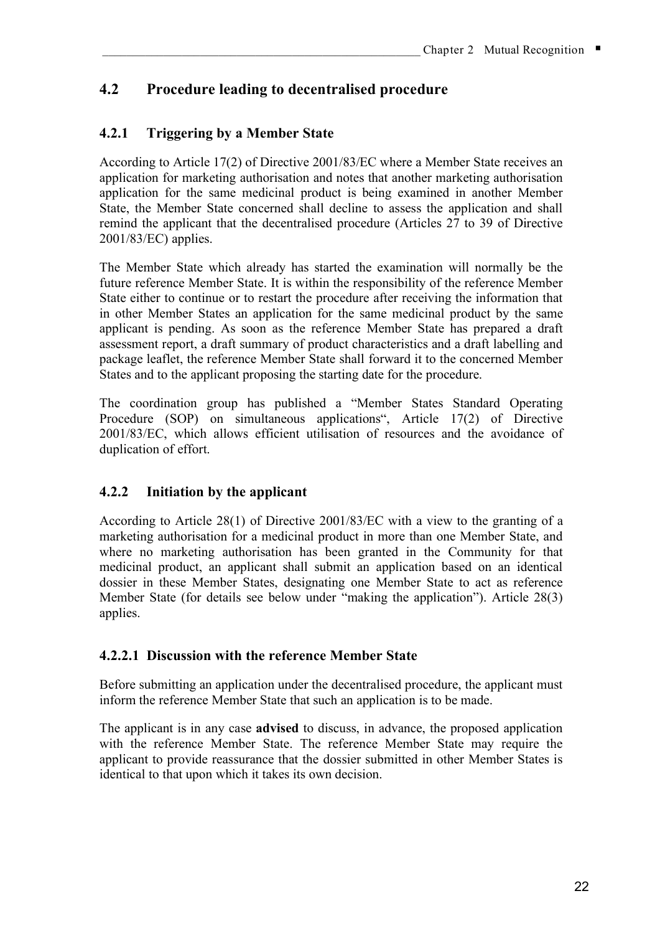# **4.2 Procedure leading to decentralised procedure**

# **4.2.1 Triggering by a Member State**

According to Article 17(2) of Directive 2001/83/EC where a Member State receives an application for marketing authorisation and notes that another marketing authorisation application for the same medicinal product is being examined in another Member State, the Member State concerned shall decline to assess the application and shall remind the applicant that the decentralised procedure (Articles 27 to 39 of Directive 2001/83/EC) applies.

The Member State which already has started the examination will normally be the future reference Member State. It is within the responsibility of the reference Member State either to continue or to restart the procedure after receiving the information that in other Member States an application for the same medicinal product by the same applicant is pending. As soon as the reference Member State has prepared a draft assessment report, a draft summary of product characteristics and a draft labelling and package leaflet, the reference Member State shall forward it to the concerned Member States and to the applicant proposing the starting date for the procedure.

The coordination group has published a "Member States Standard Operating Procedure (SOP) on simultaneous applications", Article 17(2) of Directive 2001/83/EC, which allows efficient utilisation of resources and the avoidance of duplication of effort.

# **4.2.2 Initiation by the applicant**

According to Article 28(1) of Directive 2001/83/EC with a view to the granting of a marketing authorisation for a medicinal product in more than one Member State, and where no marketing authorisation has been granted in the Community for that medicinal product, an applicant shall submit an application based on an identical dossier in these Member States, designating one Member State to act as reference Member State (for details see below under "making the application"). Article 28(3) applies.

### **4.2.2.1 Discussion with the reference Member State**

Before submitting an application under the decentralised procedure, the applicant must inform the reference Member State that such an application is to be made.

The applicant is in any case **advised** to discuss, in advance, the proposed application with the reference Member State. The reference Member State may require the applicant to provide reassurance that the dossier submitted in other Member States is identical to that upon which it takes its own decision.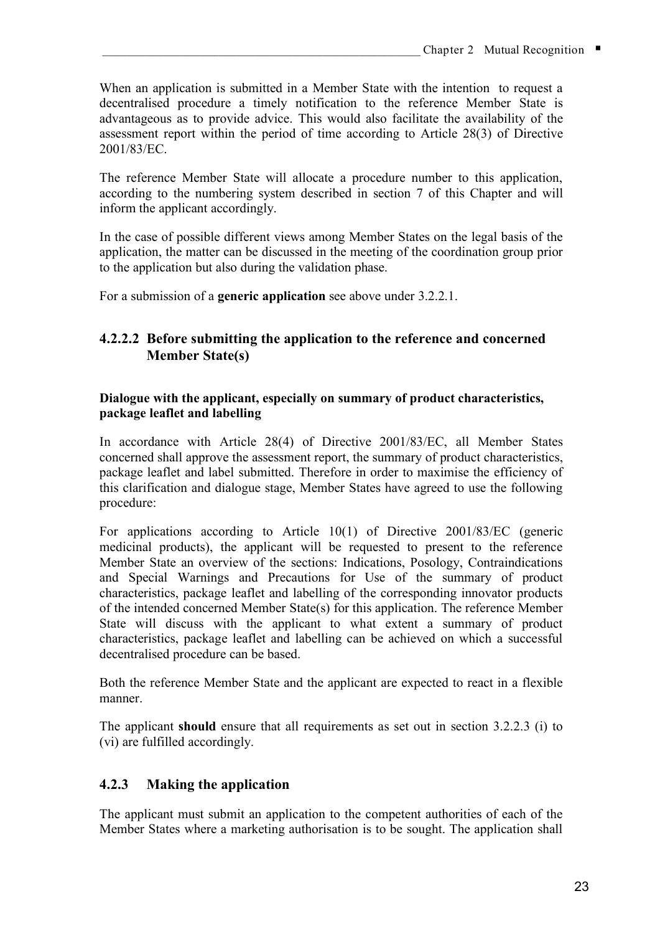When an application is submitted in a Member State with the intention to request a decentralised procedure a timely notification to the reference Member State is advantageous as to provide advice. This would also facilitate the availability of the assessment report within the period of time according to Article 28(3) of Directive 2001/83/EC.

The reference Member State will allocate a procedure number to this application, according to the numbering system described in section 7 of this Chapter and will inform the applicant accordingly.

In the case of possible different views among Member States on the legal basis of the application, the matter can be discussed in the meeting of the coordination group prior to the application but also during the validation phase.

For a submission of a **generic application** see above under 3.2.2.1.

### **4.2.2.2 Before submitting the application to the reference and concerned Member State(s)**

#### **Dialogue with the applicant, especially on summary of product characteristics, package leaflet and labelling**

In accordance with Article 28(4) of Directive 2001/83/EC, all Member States concerned shall approve the assessment report, the summary of product characteristics, package leaflet and label submitted. Therefore in order to maximise the efficiency of this clarification and dialogue stage, Member States have agreed to use the following procedure:

For applications according to Article 10(1) of Directive 2001/83/EC (generic medicinal products), the applicant will be requested to present to the reference Member State an overview of the sections: Indications, Posology, Contraindications and Special Warnings and Precautions for Use of the summary of product characteristics, package leaflet and labelling of the corresponding innovator products of the intended concerned Member State(s) for this application. The reference Member State will discuss with the applicant to what extent a summary of product characteristics, package leaflet and labelling can be achieved on which a successful decentralised procedure can be based.

Both the reference Member State and the applicant are expected to react in a flexible manner.

The applicant **should** ensure that all requirements as set out in section 3.2.2.3 (i) to (vi) are fulfilled accordingly.

# **4.2.3 Making the application**

The applicant must submit an application to the competent authorities of each of the Member States where a marketing authorisation is to be sought. The application shall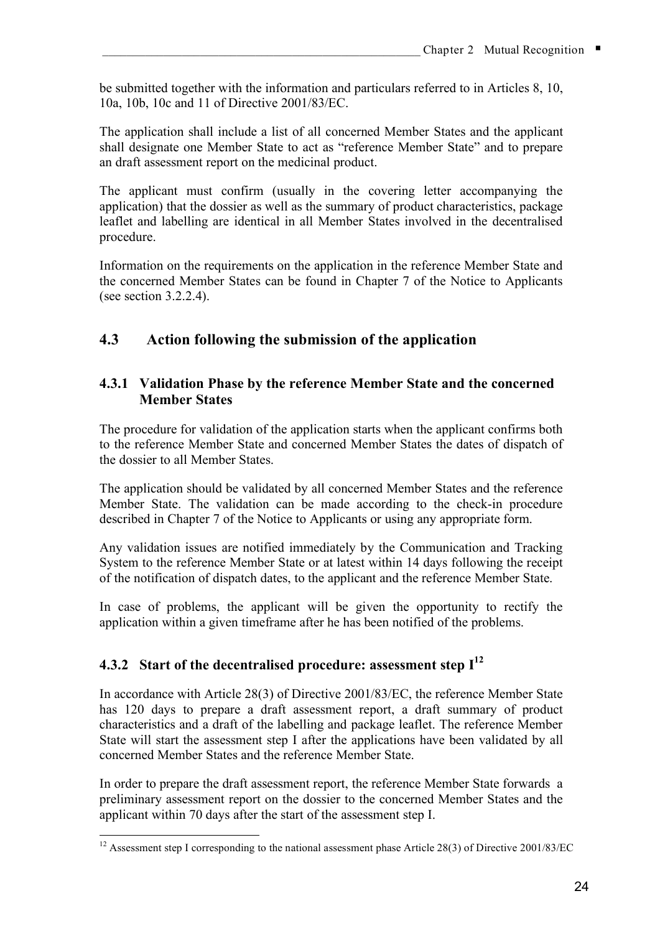be submitted together with the information and particulars referred to in Articles 8, 10, 10a, 10b, 10c and 11 of Directive 2001/83/EC.

The application shall include a list of all concerned Member States and the applicant shall designate one Member State to act as "reference Member State" and to prepare an draft assessment report on the medicinal product.

The applicant must confirm (usually in the covering letter accompanying the application) that the dossier as well as the summary of product characteristics, package leaflet and labelling are identical in all Member States involved in the decentralised procedure.

Information on the requirements on the application in the reference Member State and the concerned Member States can be found in Chapter 7 of the Notice to Applicants (see section 3.2.2.4).

# **4.3 Action following the submission of the application**

### **4.3.1 Validation Phase by the reference Member State and the concerned Member States**

The procedure for validation of the application starts when the applicant confirms both to the reference Member State and concerned Member States the dates of dispatch of the dossier to all Member States.

The application should be validated by all concerned Member States and the reference Member State. The validation can be made according to the check-in procedure described in Chapter 7 of the Notice to Applicants or using any appropriate form.

Any validation issues are notified immediately by the Communication and Tracking System to the reference Member State or at latest within 14 days following the receipt of the notification of dispatch dates, to the applicant and the reference Member State.

In case of problems, the applicant will be given the opportunity to rectify the application within a given timeframe after he has been notified of the problems.

# **4.3.2 Start of the decentralised procedure: assessment step I 12**

In accordance with Article 28(3) of Directive 2001/83/EC, the reference Member State has 120 days to prepare a draft assessment report, a draft summary of product characteristics and a draft of the labelling and package leaflet. The reference Member State will start the assessment step I after the applications have been validated by all concerned Member States and the reference Member State.

In order to prepare the draft assessment report, the reference Member State forwards a preliminary assessment report on the dossier to the concerned Member States and the applicant within 70 days after the start of the assessment step I.

<sup>&</sup>lt;sup>12</sup> Assessment step I corresponding to the national assessment phase Article 28(3) of Directive 2001/83/EC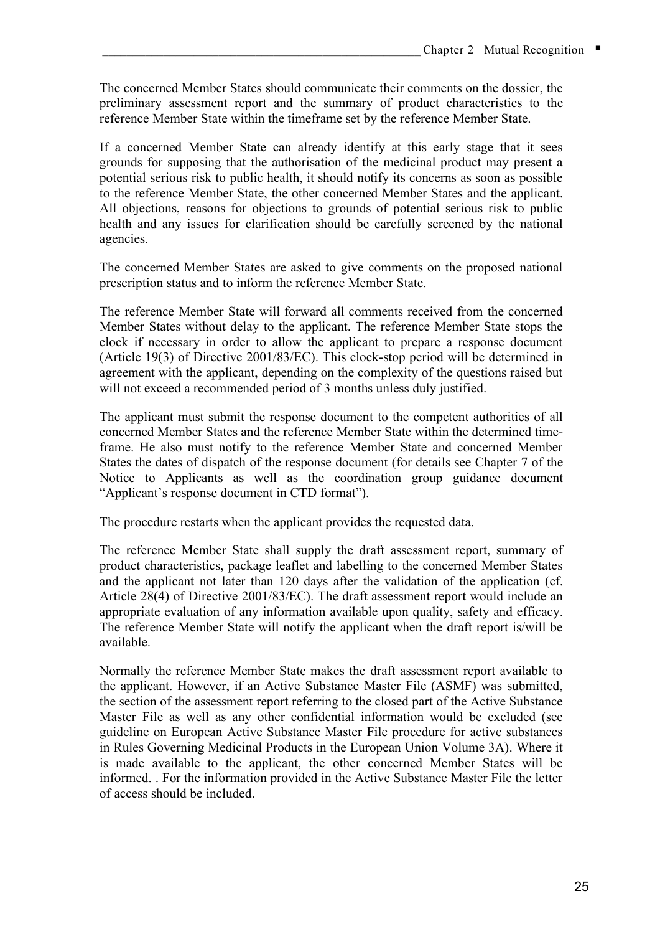The concerned Member States should communicate their comments on the dossier, the preliminary assessment report and the summary of product characteristics to the reference Member State within the timeframe set by the reference Member State.

If a concerned Member State can already identify at this early stage that it sees grounds for supposing that the authorisation of the medicinal product may present a potential serious risk to public health, it should notify its concerns as soon as possible to the reference Member State, the other concerned Member States and the applicant. All objections, reasons for objections to grounds of potential serious risk to public health and any issues for clarification should be carefully screened by the national agencies.

The concerned Member States are asked to give comments on the proposed national prescription status and to inform the reference Member State.

The reference Member State will forward all comments received from the concerned Member States without delay to the applicant. The reference Member State stops the clock if necessary in order to allow the applicant to prepare a response document (Article 19(3) of Directive 2001/83/EC). This clock-stop period will be determined in agreement with the applicant, depending on the complexity of the questions raised but will not exceed a recommended period of 3 months unless duly justified.

The applicant must submit the response document to the competent authorities of all concerned Member States and the reference Member State within the determined timeframe. He also must notify to the reference Member State and concerned Member States the dates of dispatch of the response document (for details see Chapter 7 of the Notice to Applicants as well as the coordination group guidance document "Applicant's response document in CTD format").

The procedure restarts when the applicant provides the requested data.

The reference Member State shall supply the draft assessment report, summary of product characteristics, package leaflet and labelling to the concerned Member States and the applicant not later than 120 days after the validation of the application (cf. Article 28(4) of Directive 2001/83/EC). The draft assessment report would include an appropriate evaluation of any information available upon quality, safety and efficacy. The reference Member State will notify the applicant when the draft report is/will be available.

Normally the reference Member State makes the draft assessment report available to the applicant. However, if an Active Substance Master File (ASMF) was submitted, the section of the assessment report referring to the closed part of the Active Substance Master File as well as any other confidential information would be excluded (see guideline on European Active Substance Master File procedure for active substances in Rules Governing Medicinal Products in the European Union Volume 3A). Where it is made available to the applicant, the other concerned Member States will be informed. . For the information provided in the Active Substance Master File the letter of access should be included.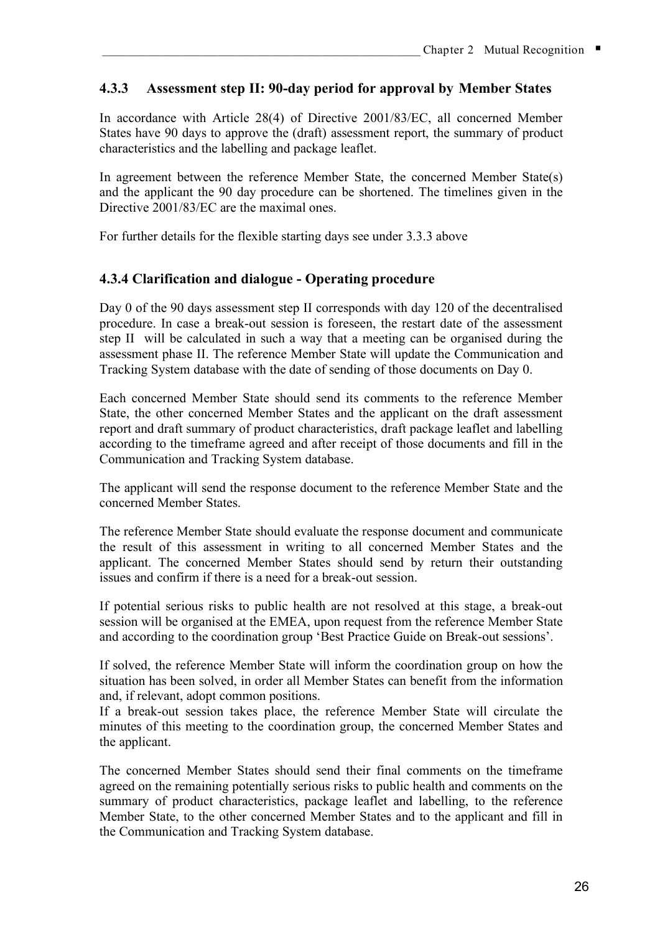## **4.3.3 Assessment step II: 90-day period for approval by Member States**

In accordance with Article 28(4) of Directive 2001/83/EC, all concerned Member States have 90 days to approve the (draft) assessment report, the summary of product characteristics and the labelling and package leaflet.

In agreement between the reference Member State, the concerned Member State(s) and the applicant the 90 day procedure can be shortened. The timelines given in the Directive 2001/83/EC are the maximal ones.

For further details for the flexible starting days see under 3.3.3 above

### **4.3.4 Clarification and dialogue - Operating procedure**

Day 0 of the 90 days assessment step II corresponds with day 120 of the decentralised procedure. In case a break-out session is foreseen, the restart date of the assessment step II will be calculated in such a way that a meeting can be organised during the assessment phase II. The reference Member State will update the Communication and Tracking System database with the date of sending of those documents on Day 0.

Each concerned Member State should send its comments to the reference Member State, the other concerned Member States and the applicant on the draft assessment report and draft summary of product characteristics, draft package leaflet and labelling according to the timeframe agreed and after receipt of those documents and fill in the Communication and Tracking System database.

The applicant will send the response document to the reference Member State and the concerned Member States.

The reference Member State should evaluate the response document and communicate the result of this assessment in writing to all concerned Member States and the applicant. The concerned Member States should send by return their outstanding issues and confirm if there is a need for a break-out session.

If potential serious risks to public health are not resolved at this stage, a break-out session will be organised at the EMEA, upon request from the reference Member State and according to the coordination group 'Best Practice Guide on Break-out sessions'.

If solved, the reference Member State will inform the coordination group on how the situation has been solved, in order all Member States can benefit from the information and, if relevant, adopt common positions.

If a break-out session takes place, the reference Member State will circulate the minutes of this meeting to the coordination group, the concerned Member States and the applicant.

The concerned Member States should send their final comments on the timeframe agreed on the remaining potentially serious risks to public health and comments on the summary of product characteristics, package leaflet and labelling, to the reference Member State, to the other concerned Member States and to the applicant and fill in the Communication and Tracking System database.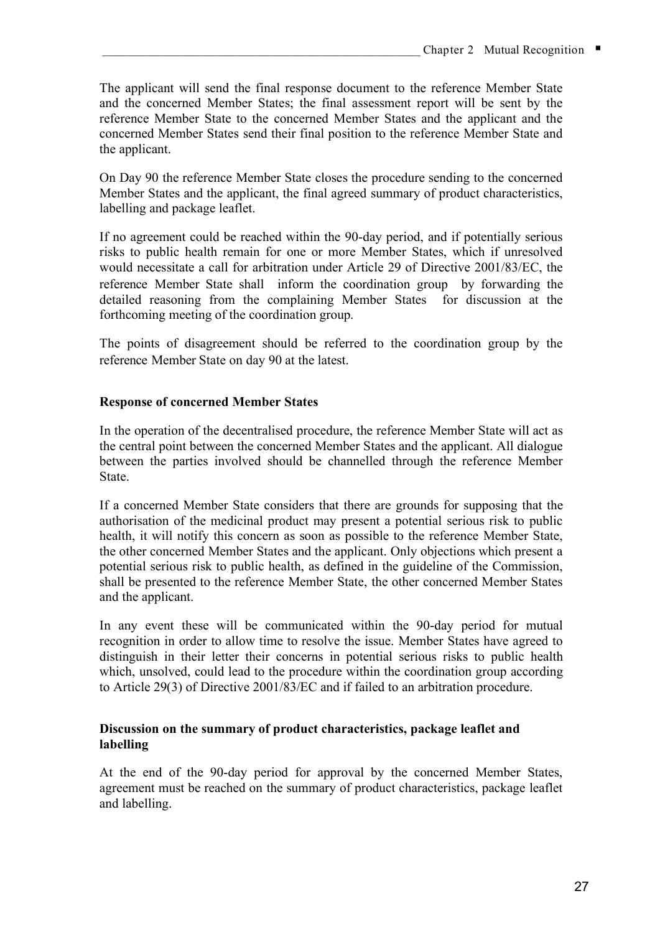The applicant will send the final response document to the reference Member State and the concerned Member States; the final assessment report will be sent by the reference Member State to the concerned Member States and the applicant and the concerned Member States send their final position to the reference Member State and the applicant.

On Day 90 the reference Member State closes the procedure sending to the concerned Member States and the applicant, the final agreed summary of product characteristics, labelling and package leaflet.

If no agreement could be reached within the 90-day period, and if potentially serious risks to public health remain for one or more Member States, which if unresolved would necessitate a call for arbitration under Article 29 of Directive 2001/83/EC, the reference Member State shall inform the coordination group by forwarding the detailed reasoning from the complaining Member States for discussion at the forthcoming meeting of the coordination group.

The points of disagreement should be referred to the coordination group by the reference Member State on day 90 at the latest.

### **Response of concerned Member States**

In the operation of the decentralised procedure, the reference Member State will act as the central point between the concerned Member States and the applicant. All dialogue between the parties involved should be channelled through the reference Member State.

If a concerned Member State considers that there are grounds for supposing that the authorisation of the medicinal product may present a potential serious risk to public health, it will notify this concern as soon as possible to the reference Member State, the other concerned Member States and the applicant. Only objections which present a potential serious risk to public health, as defined in the guideline of the Commission, shall be presented to the reference Member State, the other concerned Member States and the applicant.

In any event these will be communicated within the 90-day period for mutual recognition in order to allow time to resolve the issue. Member States have agreed to distinguish in their letter their concerns in potential serious risks to public health which, unsolved, could lead to the procedure within the coordination group according to Article 29(3) of Directive 2001/83/EC and if failed to an arbitration procedure.

### **Discussion on the summary of product characteristics, package leaflet and labelling**

At the end of the 90-day period for approval by the concerned Member States, agreement must be reached on the summary of product characteristics, package leaflet and labelling.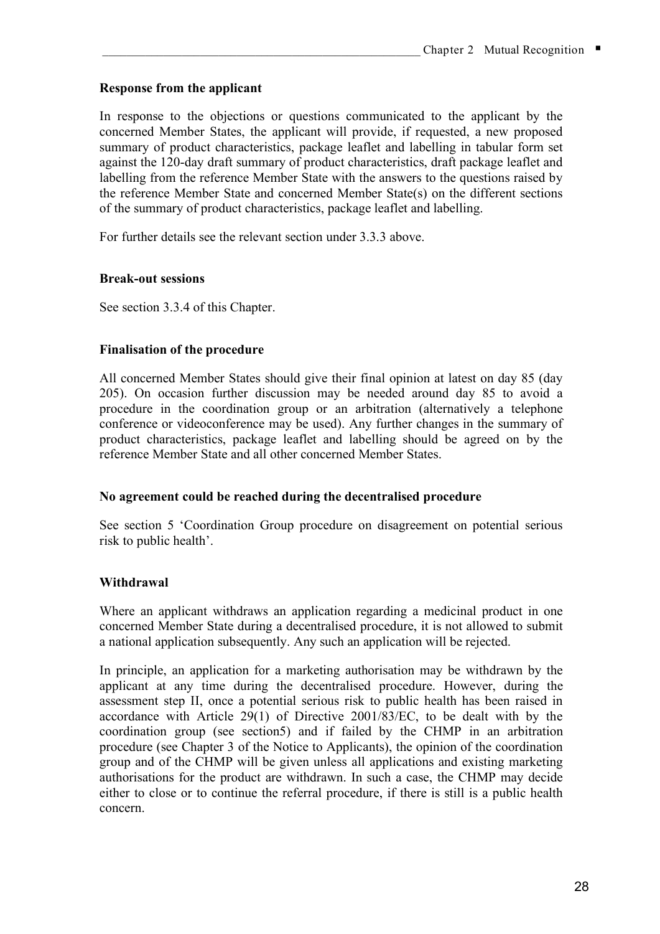### **Response from the applicant**

In response to the objections or questions communicated to the applicant by the concerned Member States, the applicant will provide, if requested, a new proposed summary of product characteristics, package leaflet and labelling in tabular form set against the 120-day draft summary of product characteristics, draft package leaflet and labelling from the reference Member State with the answers to the questions raised by the reference Member State and concerned Member State(s) on the different sections of the summary of product characteristics, package leaflet and labelling.

For further details see the relevant section under 3.3.3 above.

#### **Break-out sessions**

See section 3.3.4 of this Chapter.

#### **Finalisation of the procedure**

All concerned Member States should give their final opinion at latest on day 85 (day 205). On occasion further discussion may be needed around day 85 to avoid a procedure in the coordination group or an arbitration (alternatively a telephone conference or videoconference may be used). Any further changes in the summary of product characteristics, package leaflet and labelling should be agreed on by the reference Member State and all other concerned Member States.

#### **No agreement could be reached during the decentralised procedure**

See section 5 'Coordination Group procedure on disagreement on potential serious risk to public health'.

#### **Withdrawal**

Where an applicant withdraws an application regarding a medicinal product in one concerned Member State during a decentralised procedure, it is not allowed to submit a national application subsequently. Any such an application will be rejected.

In principle, an application for a marketing authorisation may be withdrawn by the applicant at any time during the decentralised procedure. However, during the assessment step II, once a potential serious risk to public health has been raised in accordance with Article 29(1) of Directive 2001/83/EC, to be dealt with by the coordination group (see section5) and if failed by the CHMP in an arbitration procedure (see Chapter 3 of the Notice to Applicants), the opinion of the coordination group and of the CHMP will be given unless all applications and existing marketing authorisations for the product are withdrawn. In such a case, the CHMP may decide either to close or to continue the referral procedure, if there is still is a public health concern.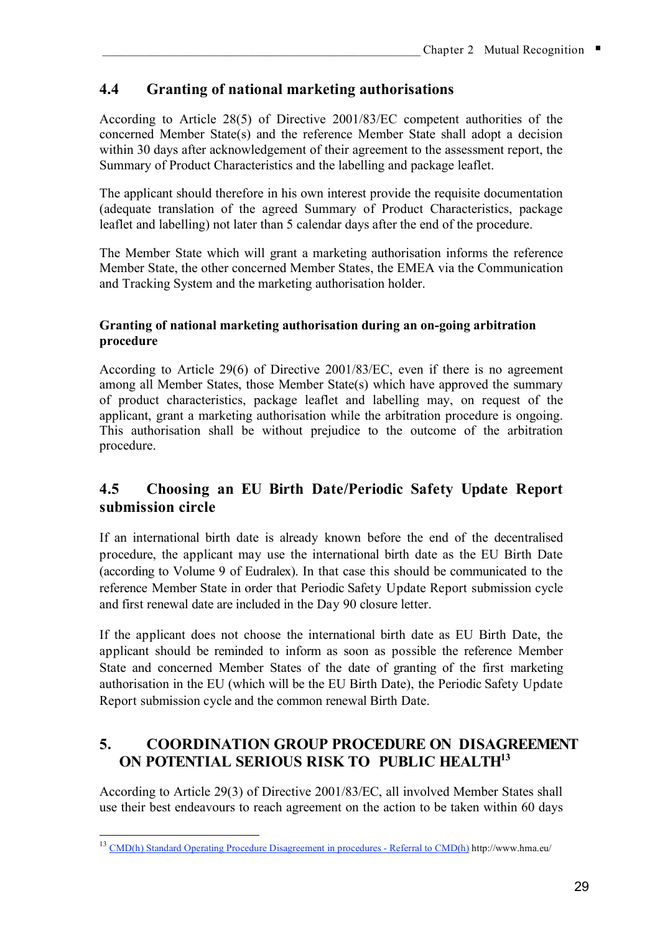# **4.4 Granting of national marketing authorisations**

According to Article 28(5) of Directive 2001/83/EC competent authorities of the concerned Member State(s) and the reference Member State shall adopt a decision within 30 days after acknowledgement of their agreement to the assessment report, the Summary of Product Characteristics and the labelling and package leaflet.

The applicant should therefore in his own interest provide the requisite documentation (adequate translation of the agreed Summary of Product Characteristics, package leaflet and labelling) not later than 5 calendar days after the end of the procedure.

The Member State which will grant a marketing authorisation informs the reference Member State, the other concerned Member States, the EMEA via the Communication and Tracking System and the marketing authorisation holder.

#### **Granting of national marketing authorisation during an on-going arbitration procedure**

According to Article 29(6) of Directive 2001/83/EC, even if there is no agreement among all Member States, those Member State(s) which have approved the summary of product characteristics, package leaflet and labelling may, on request of the applicant, grant a marketing authorisation while the arbitration procedure is ongoing. This authorisation shall be without prejudice to the outcome of the arbitration procedure.

# **4.5 Choosing an EU Birth Date/Periodic Safety Update Report submission circle**

If an international birth date is already known before the end of the decentralised procedure, the applicant may use the international birth date as the EU Birth Date (according to Volume 9 of Eudralex). In that case this should be communicated to the reference Member State in order that Periodic Safety Update Report submission cycle and first renewal date are included in the Day 90 closure letter.

If the applicant does not choose the international birth date as EU Birth Date, the applicant should be reminded to inform as soon as possible the reference Member State and concerned Member States of the date of granting of the first marketing authorisation in the EU (which will be the EU Birth Date), the Periodic Safety Update Report submission cycle and the common renewal Birth Date.

# **5. COORDINATION GROUP PROCEDURE ON DISAGREEMENT ON POTENTIAL SERIOUS RISK TO PUBLIC HEALTH13**

According to Article 29(3) of Directive 2001/83/EC, all involved Member States shall use their best endeavours to reach agreement on the action to be taken within 60 days

<sup>&</sup>lt;sup>13</sup> CMD(h) Standard Operating Procedure Disagreement in procedures - Referral to CMD(h) http://www.hma.eu/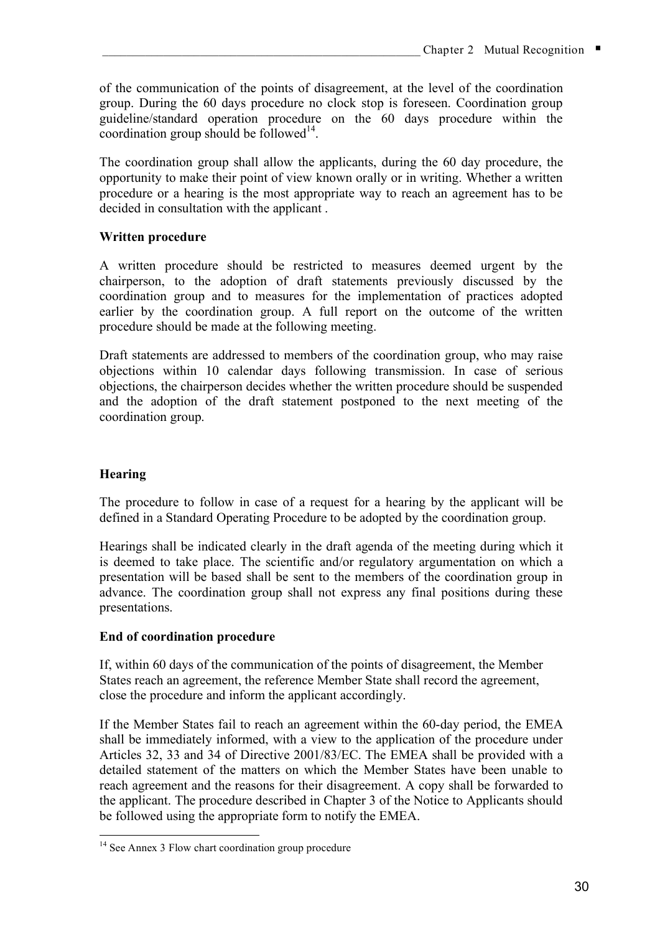of the communication of the points of disagreement, at the level of the coordination group. During the 60 days procedure no clock stop is foreseen. Coordination group guideline/standard operation procedure on the 60 days procedure within the coordination group should be followed $14$ .

The coordination group shall allow the applicants, during the 60 day procedure, the opportunity to make their point of view known orally or in writing. Whether a written procedure or a hearing is the most appropriate way to reach an agreement has to be decided in consultation with the applicant .

### **Written procedure**

A written procedure should be restricted to measures deemed urgent by the chairperson, to the adoption of draft statements previously discussed by the coordination group and to measures for the implementation of practices adopted earlier by the coordination group. A full report on the outcome of the written procedure should be made at the following meeting.

Draft statements are addressed to members of the coordination group, who may raise objections within 10 calendar days following transmission. In case of serious objections, the chairperson decides whether the written procedure should be suspended and the adoption of the draft statement postponed to the next meeting of the coordination group.

### **Hearing**

The procedure to follow in case of a request for a hearing by the applicant will be defined in a Standard Operating Procedure to be adopted by the coordination group.

Hearings shall be indicated clearly in the draft agenda of the meeting during which it is deemed to take place. The scientific and/or regulatory argumentation on which a presentation will be based shall be sent to the members of the coordination group in advance. The coordination group shall not express any final positions during these presentations.

#### **End of coordination procedure**

If, within 60 days of the communication of the points of disagreement, the Member States reach an agreement, the reference Member State shall record the agreement, close the procedure and inform the applicant accordingly.

If the Member States fail to reach an agreement within the 60-day period, the EMEA shall be immediately informed, with a view to the application of the procedure under Articles 32, 33 and 34 of Directive 2001/83/EC. The EMEA shall be provided with a detailed statement of the matters on which the Member States have been unable to reach agreement and the reasons for their disagreement. A copy shall be forwarded to the applicant. The procedure described in Chapter 3 of the Notice to Applicants should be followed using the appropriate form to notify the EMEA.

<sup>&</sup>lt;sup>14</sup> See Annex 3 Flow chart coordination group procedure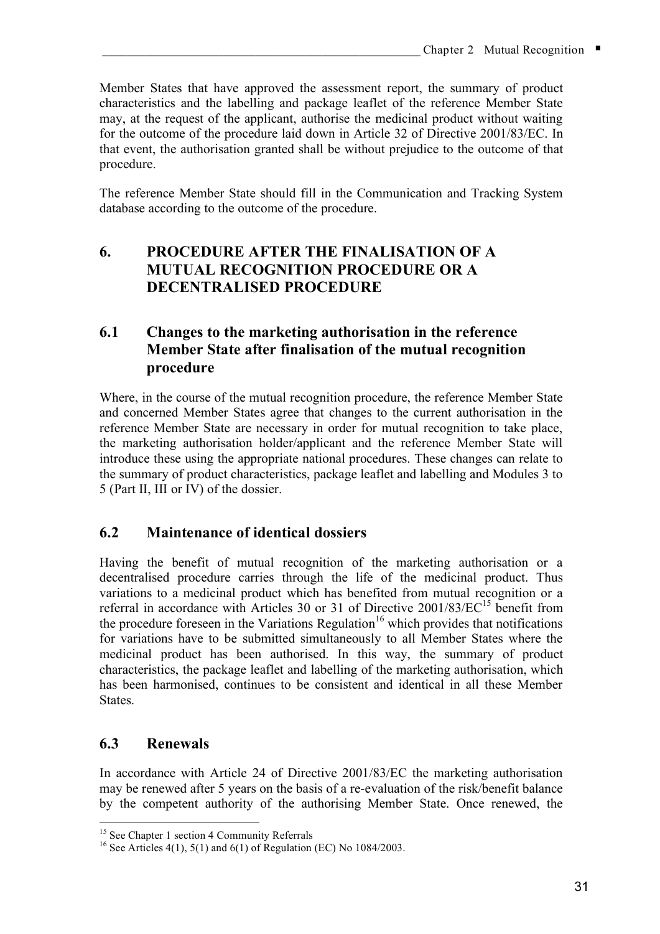Member States that have approved the assessment report, the summary of product characteristics and the labelling and package leaflet of the reference Member State may, at the request of the applicant, authorise the medicinal product without waiting for the outcome of the procedure laid down in Article 32 of Directive 2001/83/EC. In that event, the authorisation granted shall be without prejudice to the outcome of that procedure.

The reference Member State should fill in the Communication and Tracking System database according to the outcome of the procedure.

# **6. PROCEDURE AFTER THE FINALISATION OF A MUTUAL RECOGNITION PROCEDURE OR A DECENTRALISED PROCEDURE**

# **6.1 Changes to the marketing authorisation in the reference Member State after finalisation of the mutual recognition procedure**

Where, in the course of the mutual recognition procedure, the reference Member State and concerned Member States agree that changes to the current authorisation in the reference Member State are necessary in order for mutual recognition to take place, the marketing authorisation holder/applicant and the reference Member State will introduce these using the appropriate national procedures. These changes can relate to the summary of product characteristics, package leaflet and labelling and Modules 3 to 5 (Part II, III or IV) of the dossier.

# **6.2 Maintenance of identical dossiers**

Having the benefit of mutual recognition of the marketing authorisation or a decentralised procedure carries through the life of the medicinal product. Thus variations to a medicinal product which has benefited from mutual recognition or a referral in accordance with Articles 30 or 31 of Directive 2001/83/EC<sup>15</sup> benefit from the procedure foreseen in the Variations Regulation<sup>16</sup> which provides that notifications for variations have to be submitted simultaneously to all Member States where the medicinal product has been authorised. In this way, the summary of product characteristics, the package leaflet and labelling of the marketing authorisation, which has been harmonised, continues to be consistent and identical in all these Member **States** 

# **6.3 Renewals**

In accordance with Article 24 of Directive 2001/83/EC the marketing authorisation may be renewed after 5 years on the basis of a re-evaluation of the risk/benefit balance by the competent authority of the authorising Member State. Once renewed, the

<sup>&</sup>lt;sup>15</sup> See Chapter 1 section 4 Community Referrals <sup>16</sup> See Articles 4(1), 5(1) and 6(1) of Regulation (EC) No 1084/2003.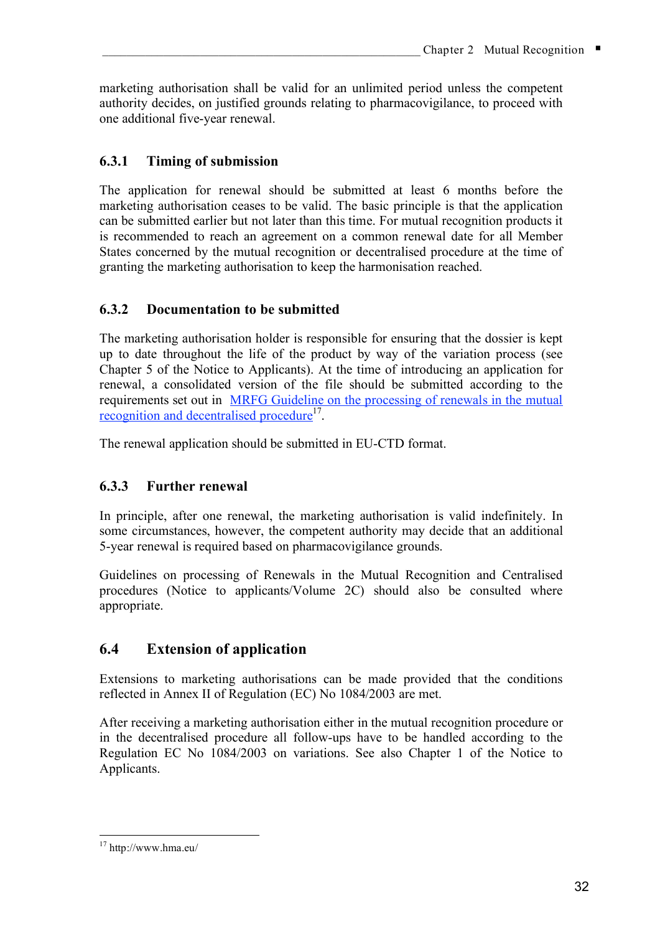marketing authorisation shall be valid for an unlimited period unless the competent authority decides, on justified grounds relating to pharmacovigilance, to proceed with one additional five-year renewal.

# **6.3.1 Timing of submission**

The application for renewal should be submitted at least 6 months before the marketing authorisation ceases to be valid. The basic principle is that the application can be submitted earlier but not later than this time. For mutual recognition products it is recommended to reach an agreement on a common renewal date for all Member States concerned by the mutual recognition or decentralised procedure at the time of granting the marketing authorisation to keep the harmonisation reached.

### **6.3.2 Documentation to be submitted**

The marketing authorisation holder is responsible for ensuring that the dossier is kept up to date throughout the life of the product by way of the variation process (see Chapter 5 of the Notice to Applicants). At the time of introducing an application for renewal, a consolidated version of the file should be submitted according to the requirements set out in MRFG Guideline on the processing of renewals in the mutual recognition and decentralised procedure<sup>17</sup>.

The renewal application should be submitted in EU-CTD format.

# **6.3.3 Further renewal**

In principle, after one renewal, the marketing authorisation is valid indefinitely. In some circumstances, however, the competent authority may decide that an additional 5-year renewal is required based on pharmacovigilance grounds.

Guidelines on processing of Renewals in the Mutual Recognition and Centralised procedures (Notice to applicants/Volume 2C) should also be consulted where appropriate.

# **6.4 Extension of application**

Extensions to marketing authorisations can be made provided that the conditions reflected in Annex II of Regulation (EC) No 1084/2003 are met.

After receiving a marketing authorisation either in the mutual recognition procedure or in the decentralised procedure all follow-ups have to be handled according to the Regulation EC No 1084/2003 on variations. See also Chapter 1 of the Notice to Applicants.

 <sup>17</sup> http://www.hma.eu/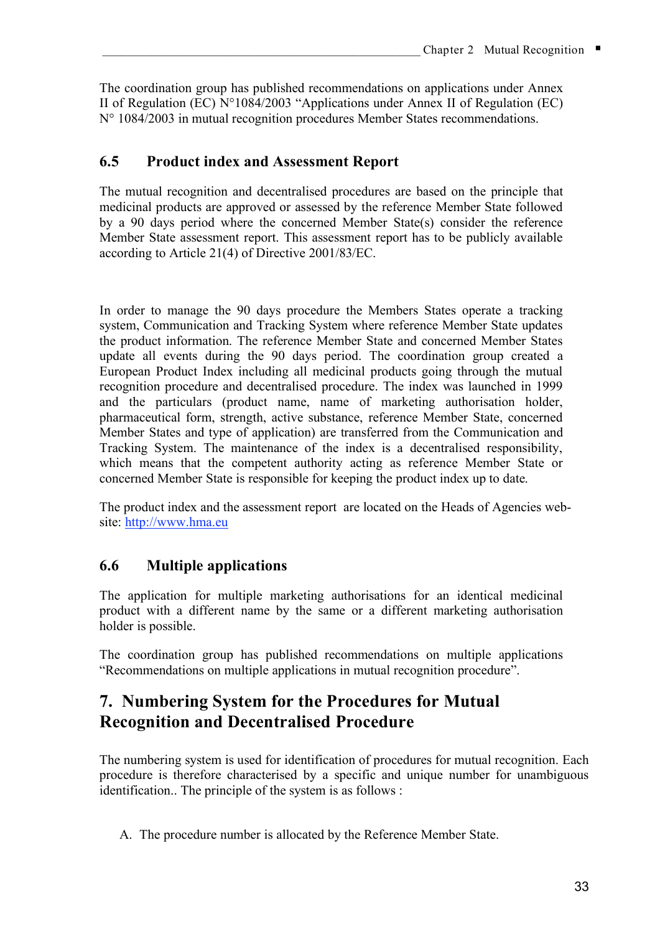The coordination group has published recommendations on applications under Annex II of Regulation (EC) N°1084/2003 "Applications under Annex II of Regulation (EC) N° 1084/2003 in mutual recognition procedures Member States recommendations.

# **6.5 Product index and Assessment Report**

The mutual recognition and decentralised procedures are based on the principle that medicinal products are approved or assessed by the reference Member State followed by a 90 days period where the concerned Member State(s) consider the reference Member State assessment report. This assessment report has to be publicly available according to Article 21(4) of Directive 2001/83/EC.

In order to manage the 90 days procedure the Members States operate a tracking system, Communication and Tracking System where reference Member State updates the product information. The reference Member State and concerned Member States update all events during the 90 days period. The coordination group created a European Product Index including all medicinal products going through the mutual recognition procedure and decentralised procedure. The index was launched in 1999 and the particulars (product name, name of marketing authorisation holder, pharmaceutical form, strength, active substance, reference Member State, concerned Member States and type of application) are transferred from the Communication and Tracking System. The maintenance of the index is a decentralised responsibility, which means that the competent authority acting as reference Member State or concerned Member State is responsible for keeping the product index up to date.

The product index and the assessment report are located on the Heads of Agencies website: http://www.hma.eu

# **6.6 Multiple applications**

The application for multiple marketing authorisations for an identical medicinal product with a different name by the same or a different marketing authorisation holder is possible.

The coordination group has published recommendations on multiple applications "Recommendations on multiple applications in mutual recognition procedure".

# **7. Numbering System for the Procedures for Mutual Recognition and Decentralised Procedure**

The numbering system is used for identification of procedures for mutual recognition. Each procedure is therefore characterised by a specific and unique number for unambiguous identification.. The principle of the system is as follows :

A. The procedure number is allocated by the Reference Member State.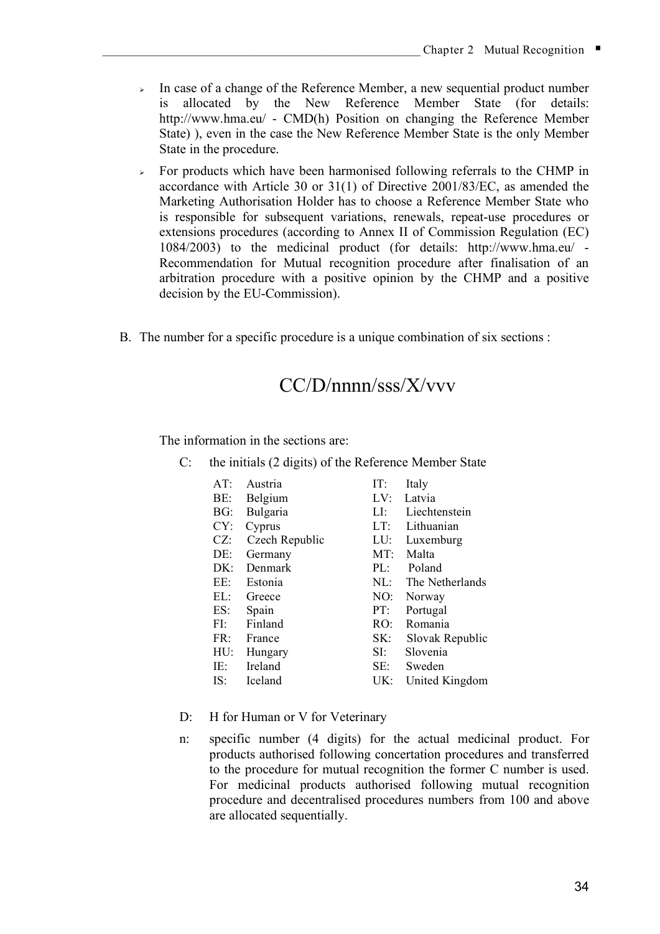- $\rightarrow$  In case of a change of the Reference Member, a new sequential product number is allocated by the New Reference Member State (for details: http://www.hma.eu/ - CMD(h) Position on changing the Reference Member State) ), even in the case the New Reference Member State is the only Member State in the procedure.
- For products which have been harmonised following referrals to the CHMP in accordance with Article 30 or 31(1) of Directive 2001/83/EC, as amended the Marketing Authorisation Holder has to choose a Reference Member State who is responsible for subsequent variations, renewals, repeat-use procedures or extensions procedures (according to Annex II of Commission Regulation (EC) 1084/2003) to the medicinal product (for details: http://www.hma.eu/ - Recommendation for Mutual recognition procedure after finalisation of an arbitration procedure with a positive opinion by the CHMP and a positive decision by the EU-Commission).
- B. The number for a specific procedure is a unique combination of six sections :

# CC/D/nnnn/sss/X/vvv

The information in the sections are:

C: the initials (2 digits) of the Reference Member State

| AT:    | Austria        | IT:      | Italy           |
|--------|----------------|----------|-----------------|
| BE:    | Belgium        | LV:      | Latvia          |
| BG:    | Bulgaria       | LI:      | Liechtenstein   |
| CY:    | Cyprus         | LT:      | Lithuanian      |
| $CZ$ : | Czech Republic | LU:      | Luxemburg       |
| DE:    | Germany        | MT:      | Malta           |
| DK:    | Denmark        | PL:      | Poland          |
| EE:    | Estonia        | $\rm ML$ | The Netherlands |
| EL:    | Greece         | NO:      | Norway          |
| ES:    | Spain          | PT:      | Portugal        |
| FI:    | Finland        | RO:      | Romania         |
| FR:    | France         | SK:      | Slovak Republic |
| HU:    | Hungary        | SI:      | Slovenia        |
| IE:    | Ireland        | SE:      | Sweden          |
| IS:    | Iceland        | UK:      | United Kingdom  |

- D: H for Human or V for Veterinary
- n: specific number (4 digits) for the actual medicinal product. For products authorised following concertation procedures and transferred to the procedure for mutual recognition the former C number is used. For medicinal products authorised following mutual recognition procedure and decentralised procedures numbers from 100 and above are allocated sequentially.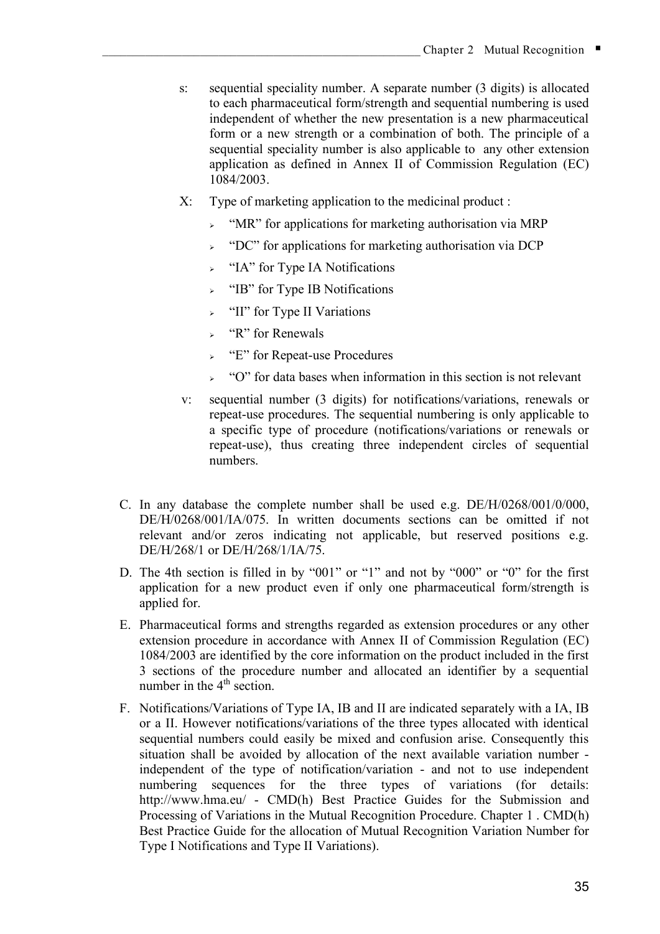- s: sequential speciality number. A separate number (3 digits) is allocated to each pharmaceutical form/strength and sequential numbering is used independent of whether the new presentation is a new pharmaceutical form or a new strength or a combination of both. The principle of a sequential speciality number is also applicable to any other extension application as defined in Annex II of Commission Regulation (EC) 1084/2003.
- X: Type of marketing application to the medicinal product :
	- $\sim$  "MR" for applications for marketing authorisation via MRP
	- $\rightarrow$  "DC" for applications for marketing authorisation via DCP
	- $\rightarrow$  "IA" for Type IA Notifications
	- "IB" for Type IB Notifications
	- $\sim$  "II" for Type II Variations
	- $\triangleright$  "R" for Renewals
	- "E" for Repeat-use Procedures
	- "O" for data bases when information in this section is not relevant
- v: sequential number (3 digits) for notifications/variations, renewals or repeat-use procedures. The sequential numbering is only applicable to a specific type of procedure (notifications/variations or renewals or repeat-use), thus creating three independent circles of sequential numbers.
- C. In any database the complete number shall be used e.g. DE/H/0268/001/0/000, DE/H/0268/001/IA/075. In written documents sections can be omitted if not relevant and/or zeros indicating not applicable, but reserved positions e.g. DE/H/268/1 or DE/H/268/1/IA/75.
- D. The 4th section is filled in by "001" or "1" and not by "000" or "0" for the first application for a new product even if only one pharmaceutical form/strength is applied for.
- E. Pharmaceutical forms and strengths regarded as extension procedures or any other extension procedure in accordance with Annex II of Commission Regulation (EC) 1084/2003 are identified by the core information on the product included in the first 3 sections of the procedure number and allocated an identifier by a sequential number in the  $4<sup>th</sup>$  section.
- F. Notifications/Variations of Type IA, IB and II are indicated separately with a IA, IB or a II. However notifications/variations of the three types allocated with identical sequential numbers could easily be mixed and confusion arise. Consequently this situation shall be avoided by allocation of the next available variation number independent of the type of notification/variation - and not to use independent numbering sequences for the three types of variations (for details: http://www.hma.eu/ - CMD(h) Best Practice Guides for the Submission and Processing of Variations in the Mutual Recognition Procedure. Chapter 1 . CMD(h) Best Practice Guide for the allocation of Mutual Recognition Variation Number for Type I Notifications and Type II Variations).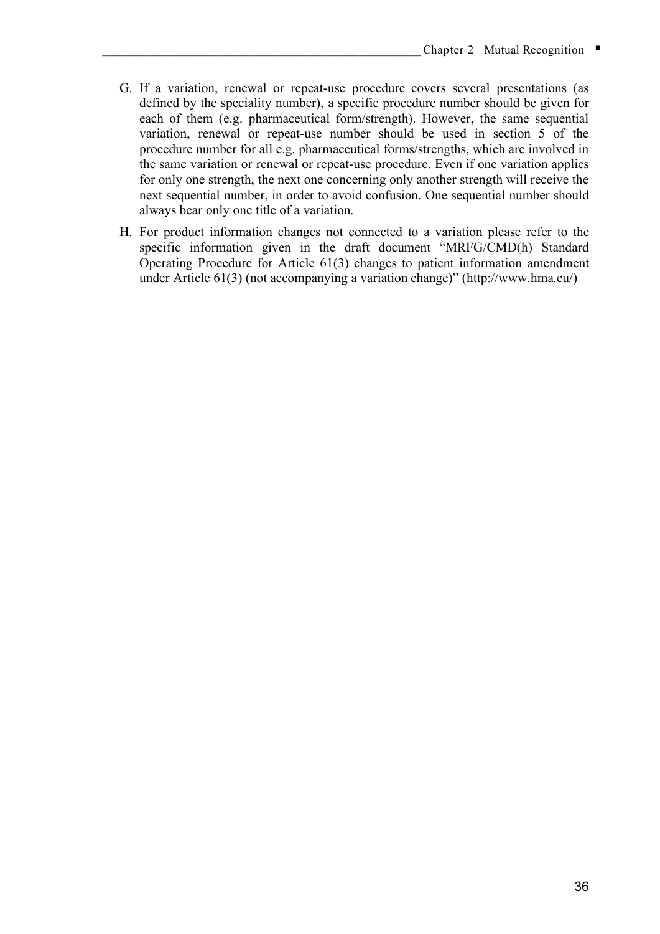- G. If a variation, renewal or repeat-use procedure covers several presentations (as defined by the speciality number), a specific procedure number should be given for each of them (e.g. pharmaceutical form/strength). However, the same sequential variation, renewal or repeat-use number should be used in section 5 of the procedure number for all e.g. pharmaceutical forms/strengths, which are involved in the same variation or renewal or repeat-use procedure. Even if one variation applies for only one strength, the next one concerning only another strength will receive the next sequential number, in order to avoid confusion. One sequential number should always bear only one title of a variation.
- H. For product information changes not connected to a variation please refer to the specific information given in the draft document "MRFG/CMD(h) Standard Operating Procedure for Article 61(3) changes to patient information amendment under Article 61(3) (not accompanying a variation change)" (http://www.hma.eu/)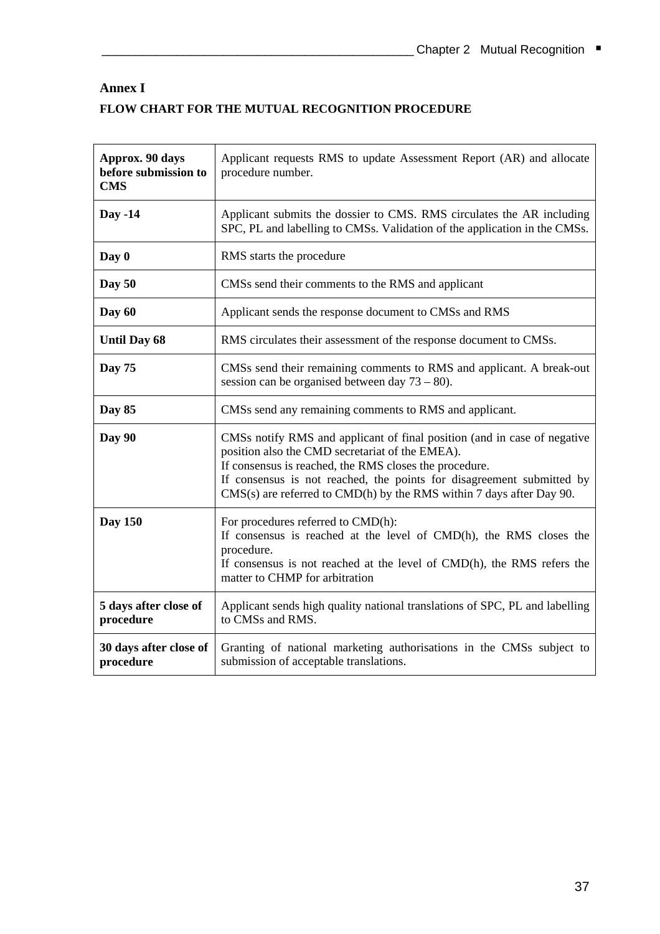# **Annex I FLOW CHART FOR THE MUTUAL RECOGNITION PROCEDURE**

| Approx. 90 days<br>before submission to<br><b>CMS</b> | Applicant requests RMS to update Assessment Report (AR) and allocate<br>procedure number.                                                                                                                                                                                                                                                  |
|-------------------------------------------------------|--------------------------------------------------------------------------------------------------------------------------------------------------------------------------------------------------------------------------------------------------------------------------------------------------------------------------------------------|
| <b>Day -14</b>                                        | Applicant submits the dossier to CMS. RMS circulates the AR including<br>SPC, PL and labelling to CMSs. Validation of the application in the CMSs.                                                                                                                                                                                         |
| Day 0                                                 | RMS starts the procedure                                                                                                                                                                                                                                                                                                                   |
| Day $50$                                              | CMSs send their comments to the RMS and applicant                                                                                                                                                                                                                                                                                          |
| Day 60                                                | Applicant sends the response document to CMSs and RMS                                                                                                                                                                                                                                                                                      |
| <b>Until Day 68</b>                                   | RMS circulates their assessment of the response document to CMSs.                                                                                                                                                                                                                                                                          |
| <b>Day 75</b>                                         | CMSs send their remaining comments to RMS and applicant. A break-out<br>session can be organised between day $73 - 80$ ).                                                                                                                                                                                                                  |
| Day 85                                                | CMSs send any remaining comments to RMS and applicant.                                                                                                                                                                                                                                                                                     |
| Day 90                                                | CMSs notify RMS and applicant of final position (and in case of negative<br>position also the CMD secretariat of the EMEA).<br>If consensus is reached, the RMS closes the procedure.<br>If consensus is not reached, the points for disagreement submitted by<br>$CMS(s)$ are referred to $CMD(h)$ by the RMS within 7 days after Day 90. |
| <b>Day 150</b>                                        | For procedures referred to CMD(h):<br>If consensus is reached at the level of CMD(h), the RMS closes the<br>procedure.<br>If consensus is not reached at the level of CMD(h), the RMS refers the<br>matter to CHMP for arbitration                                                                                                         |
| 5 days after close of<br>procedure                    | Applicant sends high quality national translations of SPC, PL and labelling<br>to CMSs and RMS.                                                                                                                                                                                                                                            |
| 30 days after close of<br>procedure                   | Granting of national marketing authorisations in the CMSs subject to<br>submission of acceptable translations.                                                                                                                                                                                                                             |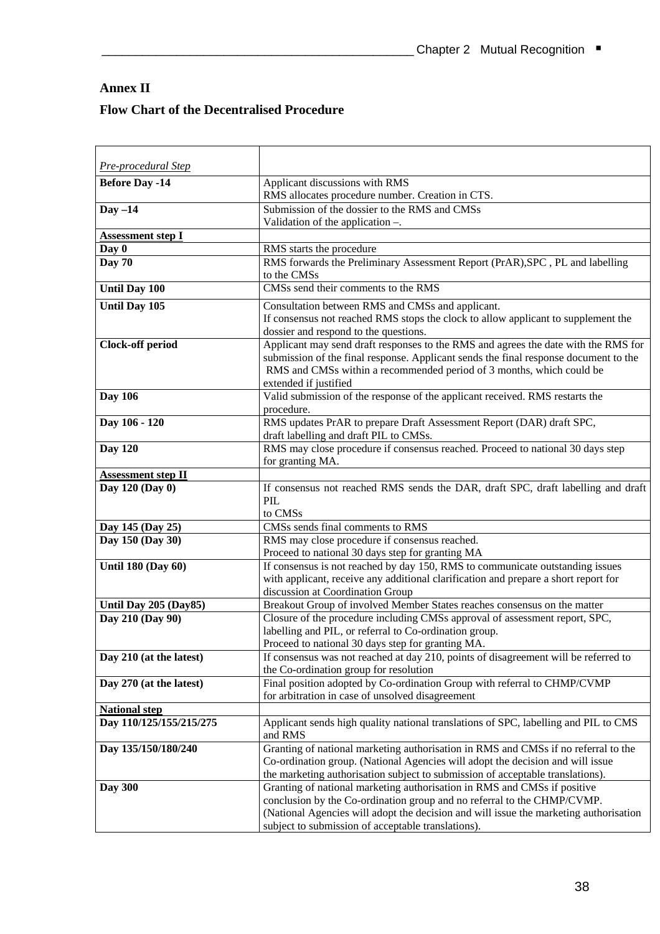# **Annex II**

# **Flow Chart of the Decentralised Procedure**

| Pre-procedural Step               |                                                                                                                                   |
|-----------------------------------|-----------------------------------------------------------------------------------------------------------------------------------|
| <b>Before Day -14</b>             | Applicant discussions with RMS                                                                                                    |
|                                   | RMS allocates procedure number. Creation in CTS.                                                                                  |
| $Day -14$                         | Submission of the dossier to the RMS and CMSs                                                                                     |
|                                   | Validation of the application $-$ .                                                                                               |
|                                   |                                                                                                                                   |
| <b>Assessment step I</b><br>Day 0 |                                                                                                                                   |
| <b>Day 70</b>                     | RMS starts the procedure<br>RMS forwards the Preliminary Assessment Report (PrAR), SPC, PL and labelling                          |
|                                   | to the CMSs                                                                                                                       |
| <b>Until Day 100</b>              | CMSs send their comments to the RMS                                                                                               |
|                                   |                                                                                                                                   |
| <b>Until Day 105</b>              | Consultation between RMS and CMSs and applicant.                                                                                  |
|                                   | If consensus not reached RMS stops the clock to allow applicant to supplement the                                                 |
|                                   | dossier and respond to the questions.                                                                                             |
| <b>Clock-off period</b>           | Applicant may send draft responses to the RMS and agrees the date with the RMS for                                                |
|                                   | submission of the final response. Applicant sends the final response document to the                                              |
|                                   | RMS and CMSs within a recommended period of 3 months, which could be                                                              |
|                                   | extended if justified                                                                                                             |
| <b>Day 106</b>                    | Valid submission of the response of the applicant received. RMS restarts the                                                      |
|                                   | procedure.                                                                                                                        |
| Day 106 - 120                     | RMS updates PrAR to prepare Draft Assessment Report (DAR) draft SPC,                                                              |
|                                   | draft labelling and draft PIL to CMSs.                                                                                            |
| <b>Day 120</b>                    | RMS may close procedure if consensus reached. Proceed to national 30 days step                                                    |
|                                   | for granting MA.                                                                                                                  |
| <b>Assessment step II</b>         |                                                                                                                                   |
| Day 120 (Day 0)                   | If consensus not reached RMS sends the DAR, draft SPC, draft labelling and draft                                                  |
|                                   | PIL.                                                                                                                              |
|                                   | to CMSs<br>CMSs sends final comments to RMS                                                                                       |
| Day 145 (Day 25)                  |                                                                                                                                   |
| Day 150 (Day 30)                  | RMS may close procedure if consensus reached.                                                                                     |
| <b>Until 180 (Day 60)</b>         | Proceed to national 30 days step for granting MA<br>If consensus is not reached by day 150, RMS to communicate outstanding issues |
|                                   | with applicant, receive any additional clarification and prepare a short report for                                               |
|                                   | discussion at Coordination Group                                                                                                  |
| Until Day 205 (Day85)             | Breakout Group of involved Member States reaches consensus on the matter                                                          |
| Day 210 (Day 90)                  | Closure of the procedure including CMSs approval of assessment report, SPC,                                                       |
|                                   | labelling and PIL, or referral to Co-ordination group.                                                                            |
|                                   | Proceed to national 30 days step for granting MA.                                                                                 |
| Day 210 (at the latest)           | If consensus was not reached at day 210, points of disagreement will be referred to                                               |
|                                   | the Co-ordination group for resolution                                                                                            |
| Day 270 (at the latest)           | Final position adopted by Co-ordination Group with referral to CHMP/CVMP                                                          |
|                                   | for arbitration in case of unsolved disagreement                                                                                  |
| <b>National step</b>              |                                                                                                                                   |
| Day 110/125/155/215/275           | Applicant sends high quality national translations of SPC, labelling and PIL to CMS                                               |
|                                   | and RMS                                                                                                                           |
| Day 135/150/180/240               | Granting of national marketing authorisation in RMS and CMSs if no referral to the                                                |
|                                   | Co-ordination group. (National Agencies will adopt the decision and will issue                                                    |
|                                   | the marketing authorisation subject to submission of acceptable translations).                                                    |
| <b>Day 300</b>                    | Granting of national marketing authorisation in RMS and CMSs if positive                                                          |
|                                   | conclusion by the Co-ordination group and no referral to the CHMP/CVMP.                                                           |
|                                   | (National Agencies will adopt the decision and will issue the marketing authorisation                                             |
|                                   | subject to submission of acceptable translations).                                                                                |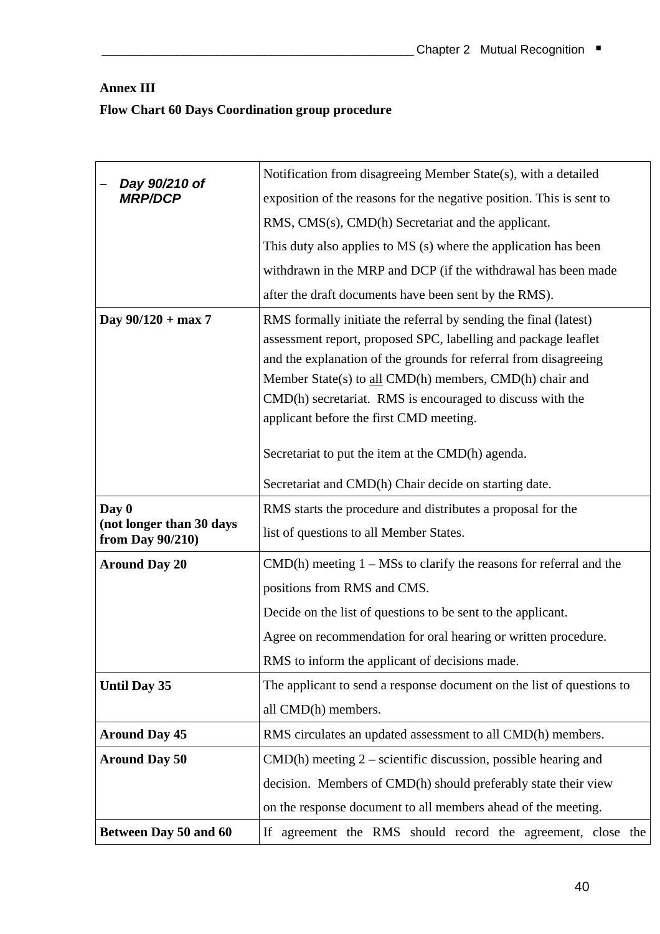# **Annex III Flow Chart 60 Days Coordination group procedure**

| Day 90/210 of                                   | Notification from disagreeing Member State(s), with a detailed         |
|-------------------------------------------------|------------------------------------------------------------------------|
| <b>MRP/DCP</b>                                  | exposition of the reasons for the negative position. This is sent to   |
|                                                 | RMS, CMS(s), CMD(h) Secretariat and the applicant.                     |
|                                                 | This duty also applies to MS (s) where the application has been        |
|                                                 | withdrawn in the MRP and DCP (if the withdrawal has been made          |
|                                                 | after the draft documents have been sent by the RMS).                  |
| Day $90/120 + \max 7$                           | RMS formally initiate the referral by sending the final (latest)       |
|                                                 | assessment report, proposed SPC, labelling and package leaflet         |
|                                                 | and the explanation of the grounds for referral from disagreeing       |
|                                                 | Member State(s) to all CMD(h) members, CMD(h) chair and                |
|                                                 | CMD(h) secretariat. RMS is encouraged to discuss with the              |
|                                                 | applicant before the first CMD meeting.                                |
|                                                 |                                                                        |
|                                                 | Secretariat to put the item at the CMD(h) agenda.                      |
|                                                 | Secretariat and CMD(h) Chair decide on starting date.                  |
| Day 0                                           | RMS starts the procedure and distributes a proposal for the            |
| (not longer than 30 days<br>from Day $90/210$ ) | list of questions to all Member States.                                |
| <b>Around Day 20</b>                            | $CMD(h)$ meeting $1 - MSs$ to clarify the reasons for referral and the |
|                                                 | positions from RMS and CMS.                                            |
|                                                 | Decide on the list of questions to be sent to the applicant.           |
|                                                 | Agree on recommendation for oral hearing or written procedure.         |
|                                                 | RMS to inform the applicant of decisions made.                         |
| <b>Until Day 35</b>                             | The applicant to send a response document on the list of questions to  |
|                                                 | all CMD(h) members.                                                    |
| <b>Around Day 45</b>                            | RMS circulates an updated assessment to all CMD(h) members.            |
| <b>Around Day 50</b>                            | $CMD(h)$ meeting $2$ – scientific discussion, possible hearing and     |
|                                                 | decision. Members of CMD(h) should preferably state their view         |
|                                                 | on the response document to all members ahead of the meeting.          |
| Between Day 50 and 60                           | If agreement the RMS should record the agreement, close the            |